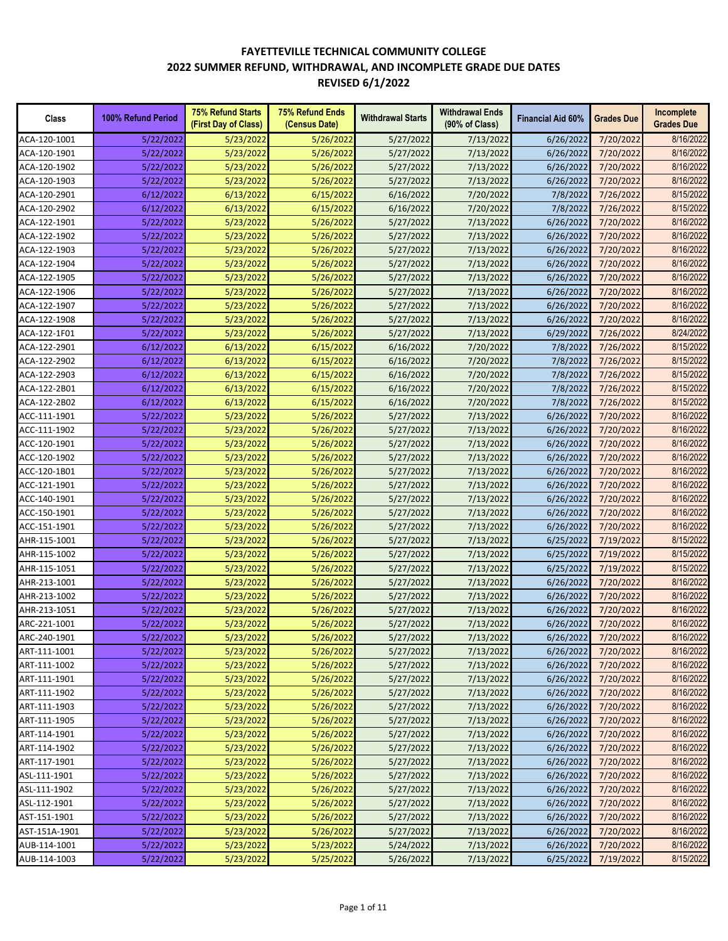| Class         | 100% Refund Period | <b>75% Refund Starts</b><br>(First Day of Class) | <b>75% Refund Ends</b><br>(Census Date) | <b>Withdrawal Starts</b> | <b>Withdrawal Ends</b><br>$(90\% \text{ of Class})$ | <b>Financial Aid 60%</b> | <b>Grades Due</b> | Incomplete<br><b>Grades Due</b> |
|---------------|--------------------|--------------------------------------------------|-----------------------------------------|--------------------------|-----------------------------------------------------|--------------------------|-------------------|---------------------------------|
| ACA-120-1001  | 5/22/2022          | 5/23/2022                                        | 5/26/2022                               | 5/27/2022                | 7/13/2022                                           | 6/26/2022                | 7/20/2022         | 8/16/2022                       |
| ACA-120-1901  | 5/22/2022          | 5/23/2022                                        | 5/26/2022                               | 5/27/2022                | 7/13/2022                                           | 6/26/2022                | 7/20/2022         | 8/16/2022                       |
| ACA-120-1902  | 5/22/2022          | 5/23/2022                                        | 5/26/2022                               | 5/27/2022                | 7/13/2022                                           | 6/26/2022                | 7/20/2022         | 8/16/2022                       |
| ACA-120-1903  | 5/22/2022          | 5/23/2022                                        | 5/26/2022                               | 5/27/2022                | 7/13/2022                                           | 6/26/2022                | 7/20/2022         | 8/16/2022                       |
| ACA-120-2901  | 6/12/2022          | 6/13/2022                                        | 6/15/2022                               | 6/16/2022                | 7/20/2022                                           | 7/8/2022                 | 7/26/2022         | 8/15/2022                       |
| ACA-120-2902  | 6/12/2022          | 6/13/2022                                        | 6/15/2022                               | 6/16/2022                | 7/20/2022                                           | 7/8/2022                 | 7/26/2022         | 8/15/2022                       |
| ACA-122-1901  | 5/22/2022          | 5/23/2022                                        | 5/26/2022                               | 5/27/2022                | 7/13/2022                                           | 6/26/2022                | 7/20/2022         | 8/16/2022                       |
| ACA-122-1902  | 5/22/2022          | 5/23/2022                                        | 5/26/2022                               | 5/27/2022                | 7/13/2022                                           | 6/26/2022                | 7/20/2022         | 8/16/2022                       |
| ACA-122-1903  | 5/22/2022          | 5/23/2022                                        | 5/26/2022                               | 5/27/2022                | 7/13/2022                                           | 6/26/2022                | 7/20/2022         | 8/16/2022                       |
| ACA-122-1904  | 5/22/2022          | 5/23/2022                                        | 5/26/2022                               | 5/27/2022                | 7/13/2022                                           | 6/26/2022                | 7/20/2022         | 8/16/2022                       |
| ACA-122-1905  | 5/22/2022          | 5/23/2022                                        | 5/26/2022                               | 5/27/2022                | 7/13/2022                                           | 6/26/2022                | 7/20/2022         | 8/16/2022                       |
| ACA-122-1906  | 5/22/2022          | 5/23/2022                                        | 5/26/2022                               | 5/27/2022                | 7/13/2022                                           | 6/26/2022                | 7/20/2022         | 8/16/2022                       |
| ACA-122-1907  | 5/22/2022          | 5/23/2022                                        | 5/26/2022                               | 5/27/2022                | 7/13/2022                                           | 6/26/2022                | 7/20/2022         | 8/16/2022                       |
| ACA-122-1908  | 5/22/2022          | 5/23/2022                                        | 5/26/2022                               | 5/27/2022                | 7/13/2022                                           | 6/26/2022                | 7/20/2022         | 8/16/2022                       |
| ACA-122-1F01  | 5/22/2022          | 5/23/2022                                        | 5/26/2022                               | 5/27/2022                | 7/13/2022                                           | 6/29/2022                | 7/26/2022         | 8/24/2022                       |
| ACA-122-2901  | 6/12/2022          | 6/13/2022                                        | 6/15/2022                               | 6/16/2022                | 7/20/2022                                           | 7/8/2022                 | 7/26/2022         | 8/15/2022                       |
| ACA-122-2902  | 6/12/2022          | 6/13/2022                                        | 6/15/2022                               | 6/16/2022                | 7/20/2022                                           | 7/8/2022                 | 7/26/2022         | 8/15/2022                       |
| ACA-122-2903  | 6/12/2022          | 6/13/2022                                        | 6/15/2022                               | 6/16/2022                | 7/20/2022                                           | 7/8/2022                 | 7/26/2022         | 8/15/2022                       |
| ACA-122-2B01  | 6/12/2022          | 6/13/2022                                        | 6/15/2022                               | 6/16/2022                | 7/20/2022                                           | 7/8/2022                 | 7/26/2022         | 8/15/2022                       |
| ACA-122-2B02  | 6/12/2022          | 6/13/2022                                        | 6/15/2022                               | 6/16/2022                | 7/20/2022                                           | 7/8/2022                 | 7/26/2022         | 8/15/2022                       |
| ACC-111-1901  | 5/22/2022          | 5/23/2022                                        | 5/26/2022                               | 5/27/2022                | 7/13/2022                                           | 6/26/2022                | 7/20/2022         | 8/16/2022                       |
| ACC-111-1902  | 5/22/2022          | 5/23/2022                                        | 5/26/2022                               | 5/27/2022                | 7/13/2022                                           | 6/26/2022                | 7/20/2022         | 8/16/2022                       |
| ACC-120-1901  | 5/22/2022          | 5/23/2022                                        | 5/26/2022                               | 5/27/2022                | 7/13/2022                                           | 6/26/2022                | 7/20/2022         | 8/16/2022                       |
| ACC-120-1902  | 5/22/2022          | 5/23/2022                                        | 5/26/2022                               | 5/27/2022                | 7/13/2022                                           | 6/26/2022                | 7/20/2022         | 8/16/2022                       |
| ACC-120-1B01  | 5/22/2022          | 5/23/2022                                        | 5/26/2022                               | 5/27/2022                | 7/13/2022                                           | 6/26/2022                | 7/20/2022         | 8/16/2022                       |
| ACC-121-1901  | 5/22/2022          | 5/23/2022                                        | 5/26/2022                               | 5/27/2022                | 7/13/2022                                           | 6/26/2022                | 7/20/2022         | 8/16/2022                       |
| ACC-140-1901  | 5/22/2022          | 5/23/2022                                        | 5/26/2022                               | 5/27/2022                | 7/13/2022                                           | 6/26/2022                | 7/20/2022         | 8/16/2022                       |
| ACC-150-1901  | 5/22/2022          | 5/23/2022                                        | 5/26/2022                               | 5/27/2022                | 7/13/2022                                           | 6/26/2022                | 7/20/2022         | 8/16/2022                       |
| ACC-151-1901  | 5/22/2022          | 5/23/2022                                        | 5/26/2022                               | 5/27/2022                | 7/13/2022                                           | 6/26/2022                | 7/20/2022         | 8/16/2022                       |
| AHR-115-1001  | 5/22/2022          | 5/23/2022                                        | 5/26/2022                               | 5/27/2022                | 7/13/2022                                           | 6/25/2022                | 7/19/2022         | 8/15/2022                       |
| AHR-115-1002  | 5/22/2022          | 5/23/2022                                        | 5/26/2022                               | 5/27/2022                | 7/13/2022                                           | 6/25/2022                | 7/19/2022         | 8/15/2022                       |
| AHR-115-1051  | 5/22/2022          | 5/23/2022                                        | 5/26/2022                               | 5/27/2022                | 7/13/2022                                           | 6/25/2022                | 7/19/2022         | 8/15/2022                       |
| AHR-213-1001  | 5/22/2022          | 5/23/2022                                        | 5/26/2022                               | 5/27/2022                | 7/13/2022                                           | 6/26/2022                | 7/20/2022         | 8/16/2022                       |
| AHR-213-1002  | 5/22/2022          | 5/23/2022                                        | 5/26/2022                               | 5/27/2022                | 7/13/2022                                           | 6/26/2022                | 7/20/2022         | 8/16/2022                       |
| AHR-213-1051  | 5/22/2022          | 5/23/2022                                        | 5/26/2022                               | 5/27/2022                | 7/13/2022                                           | 6/26/2022                | 7/20/2022         | 8/16/2022                       |
| ARC-221-1001  | 5/22/2022          | 5/23/2022                                        | 5/26/2022                               | 5/27/2022                | 7/13/2022                                           | 6/26/2022                | 7/20/2022         | 8/16/2022                       |
| ARC-240-1901  | 5/22/2022          | 5/23/2022                                        | 5/26/2022                               | 5/27/2022                | 7/13/2022                                           | 6/26/2022                | 7/20/2022         | 8/16/2022                       |
| ART-111-1001  | 5/22/2022          | 5/23/2022                                        | 5/26/2022                               | 5/27/2022                | 7/13/2022                                           | 6/26/2022                | 7/20/2022         | 8/16/2022                       |
| ART-111-1002  | 5/22/2022          | 5/23/2022                                        | 5/26/2022                               | 5/27/2022                | 7/13/2022                                           | 6/26/2022                | 7/20/2022         | 8/16/2022                       |
| ART-111-1901  | 5/22/2022          | 5/23/2022                                        | 5/26/2022                               | 5/27/2022                | 7/13/2022                                           | 6/26/2022                | 7/20/2022         | 8/16/2022                       |
| ART-111-1902  | 5/22/2022          | 5/23/2022                                        | 5/26/2022                               | 5/27/2022                | 7/13/2022                                           | 6/26/2022                | 7/20/2022         | 8/16/2022                       |
| ART-111-1903  | 5/22/2022          | 5/23/2022                                        | 5/26/2022                               | 5/27/2022                | 7/13/2022                                           | 6/26/2022                | 7/20/2022         | 8/16/2022                       |
| ART-111-1905  | 5/22/2022          | 5/23/2022                                        | 5/26/2022                               | 5/27/2022                | 7/13/2022                                           | 6/26/2022                | 7/20/2022         | 8/16/2022                       |
| ART-114-1901  | 5/22/2022          | 5/23/2022                                        | 5/26/2022                               | 5/27/2022                | 7/13/2022                                           | 6/26/2022                | 7/20/2022         | 8/16/2022                       |
| ART-114-1902  | 5/22/2022          | 5/23/2022                                        | 5/26/2022                               | 5/27/2022                | 7/13/2022                                           | 6/26/2022                | 7/20/2022         | 8/16/2022                       |
|               |                    |                                                  |                                         |                          |                                                     |                          |                   | 8/16/2022                       |
| ART-117-1901  | 5/22/2022          | 5/23/2022                                        | 5/26/2022                               | 5/27/2022                | 7/13/2022                                           | 6/26/2022                | 7/20/2022         |                                 |
| ASL-111-1901  | 5/22/2022          | 5/23/2022                                        | 5/26/2022                               | 5/27/2022                | 7/13/2022                                           | 6/26/2022                | 7/20/2022         | 8/16/2022                       |
| ASL-111-1902  | 5/22/2022          | 5/23/2022                                        | 5/26/2022                               | 5/27/2022                | 7/13/2022                                           | 6/26/2022                | 7/20/2022         | 8/16/2022                       |
| ASL-112-1901  | 5/22/2022          | 5/23/2022                                        | 5/26/2022                               | 5/27/2022                | 7/13/2022                                           | 6/26/2022                | 7/20/2022         | 8/16/2022                       |
| AST-151-1901  | 5/22/2022          | 5/23/2022                                        | 5/26/2022                               | 5/27/2022                | 7/13/2022                                           | 6/26/2022                | 7/20/2022         | 8/16/2022                       |
| AST-151A-1901 | 5/22/2022          | 5/23/2022                                        | 5/26/2022                               | 5/27/2022                | 7/13/2022                                           | 6/26/2022                | 7/20/2022         | 8/16/2022                       |
| AUB-114-1001  | 5/22/2022          | 5/23/2022                                        | 5/23/2022                               | 5/24/2022                | 7/13/2022                                           | 6/26/2022                | 7/20/2022         | 8/16/2022                       |
| AUB-114-1003  | 5/22/2022          | 5/23/2022                                        | 5/25/2022                               | 5/26/2022                | 7/13/2022                                           | 6/25/2022                | 7/19/2022         | 8/15/2022                       |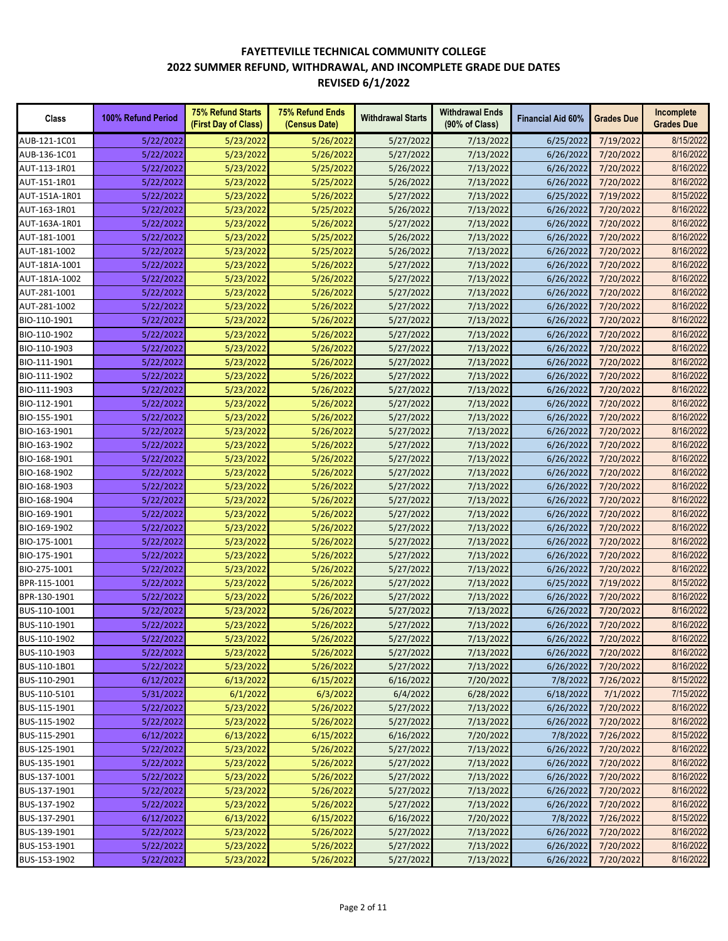| Class         | 100% Refund Period | <b>75% Refund Starts</b><br>(First Day of Class) | <b>75% Refund Ends</b><br>(Census Date) | <b>Withdrawal Starts</b> | <b>Withdrawal Ends</b><br>(90% of Class) | <b>Financial Aid 60%</b> | <b>Grades Due</b> | Incomplete<br><b>Grades Due</b> |
|---------------|--------------------|--------------------------------------------------|-----------------------------------------|--------------------------|------------------------------------------|--------------------------|-------------------|---------------------------------|
| AUB-121-1C01  | 5/22/2022          | 5/23/2022                                        | 5/26/2022                               | 5/27/2022                | 7/13/2022                                | 6/25/2022                | 7/19/2022         | 8/15/2022                       |
| AUB-136-1C01  | 5/22/2022          | 5/23/2022                                        | 5/26/2022                               | 5/27/2022                | 7/13/2022                                | 6/26/2022                | 7/20/2022         | 8/16/2022                       |
| AUT-113-1R01  | 5/22/2022          | 5/23/2022                                        | 5/25/2022                               | 5/26/2022                | 7/13/2022                                | 6/26/2022                | 7/20/2022         | 8/16/2022                       |
| AUT-151-1R01  | 5/22/2022          | 5/23/2022                                        | 5/25/2022                               | 5/26/2022                | 7/13/2022                                | 6/26/2022                | 7/20/2022         | 8/16/2022                       |
| AUT-151A-1R01 | 5/22/2022          | 5/23/2022                                        | 5/26/2022                               | 5/27/2022                | 7/13/2022                                | 6/25/2022                | 7/19/2022         | 8/15/2022                       |
| AUT-163-1R01  | 5/22/2022          | 5/23/2022                                        | 5/25/2022                               | 5/26/2022                | 7/13/2022                                | 6/26/2022                | 7/20/2022         | 8/16/2022                       |
| AUT-163A-1R01 | 5/22/2022          | 5/23/2022                                        | 5/26/2022                               | 5/27/2022                | 7/13/2022                                | 6/26/2022                | 7/20/2022         | 8/16/2022                       |
| AUT-181-1001  | 5/22/2022          | 5/23/2022                                        | 5/25/2022                               | 5/26/2022                | 7/13/2022                                | 6/26/2022                | 7/20/2022         | 8/16/2022                       |
| AUT-181-1002  | 5/22/2022          | 5/23/2022                                        | 5/25/2022                               | 5/26/2022                | 7/13/2022                                | 6/26/2022                | 7/20/2022         | 8/16/2022                       |
| AUT-181A-1001 | 5/22/2022          | 5/23/2022                                        | 5/26/2022                               | 5/27/2022                | 7/13/2022                                | 6/26/2022                | 7/20/2022         | 8/16/2022                       |
| AUT-181A-1002 | 5/22/2022          | 5/23/2022                                        | 5/26/2022                               | 5/27/2022                | 7/13/2022                                | 6/26/2022                | 7/20/2022         | 8/16/2022                       |
| AUT-281-1001  | 5/22/2022          | 5/23/2022                                        | 5/26/2022                               | 5/27/2022                | 7/13/2022                                | 6/26/2022                | 7/20/2022         | 8/16/2022                       |
| AUT-281-1002  | 5/22/2022          | 5/23/2022                                        | 5/26/2022                               | 5/27/2022                | 7/13/2022                                | 6/26/2022                | 7/20/2022         | 8/16/2022                       |
| BIO-110-1901  | 5/22/2022          | 5/23/2022                                        | 5/26/2022                               | 5/27/2022                | 7/13/2022                                | 6/26/2022                | 7/20/2022         | 8/16/2022                       |
| BIO-110-1902  | 5/22/2022          | 5/23/2022                                        | 5/26/2022                               | 5/27/2022                | 7/13/2022                                | 6/26/2022                | 7/20/2022         | 8/16/2022                       |
| BIO-110-1903  | 5/22/2022          | 5/23/2022                                        | 5/26/2022                               | 5/27/2022                | 7/13/2022                                | 6/26/2022                | 7/20/2022         | 8/16/2022                       |
| BIO-111-1901  | 5/22/2022          | 5/23/2022                                        | 5/26/2022                               | 5/27/2022                | 7/13/2022                                | 6/26/2022                | 7/20/2022         | 8/16/2022                       |
| BIO-111-1902  | 5/22/2022          | 5/23/2022                                        | 5/26/2022                               | 5/27/2022                | 7/13/2022                                | 6/26/2022                | 7/20/2022         | 8/16/2022                       |
| BIO-111-1903  | 5/22/2022          | 5/23/2022                                        | 5/26/2022                               | 5/27/2022                | 7/13/2022                                | 6/26/2022                | 7/20/2022         | 8/16/2022                       |
| BIO-112-1901  | 5/22/2022          | 5/23/2022                                        | 5/26/2022                               | 5/27/2022                | 7/13/2022                                | 6/26/2022                | 7/20/2022         | 8/16/2022                       |
| BIO-155-1901  | 5/22/2022          | 5/23/2022                                        | 5/26/2022                               | 5/27/2022                | 7/13/2022                                | 6/26/2022                | 7/20/2022         | 8/16/2022                       |
| BIO-163-1901  | 5/22/2022          | 5/23/2022                                        | 5/26/2022                               | 5/27/2022                | 7/13/2022                                | 6/26/2022                | 7/20/2022         | 8/16/2022                       |
| BIO-163-1902  | 5/22/2022          | 5/23/2022                                        | 5/26/2022                               | 5/27/2022                | 7/13/2022                                | 6/26/2022                | 7/20/2022         | 8/16/2022                       |
| BIO-168-1901  | 5/22/2022          | 5/23/2022                                        | 5/26/2022                               | 5/27/2022                | 7/13/2022                                | 6/26/2022                | 7/20/2022         | 8/16/2022                       |
| BIO-168-1902  | 5/22/2022          | 5/23/2022                                        | 5/26/2022                               | 5/27/2022                | 7/13/2022                                | 6/26/2022                | 7/20/2022         | 8/16/2022                       |
| BIO-168-1903  | 5/22/2022          | 5/23/2022                                        | 5/26/2022                               | 5/27/2022                | 7/13/2022                                | 6/26/2022                | 7/20/2022         | 8/16/2022                       |
| BIO-168-1904  | 5/22/2022          | 5/23/2022                                        | 5/26/2022                               | 5/27/2022                | 7/13/2022                                | 6/26/2022                | 7/20/2022         | 8/16/2022                       |
| BIO-169-1901  | 5/22/2022          | 5/23/2022                                        | 5/26/2022                               | 5/27/2022                | 7/13/2022                                | 6/26/2022                | 7/20/2022         | 8/16/2022                       |
| BIO-169-1902  | 5/22/2022          | 5/23/2022                                        | 5/26/2022                               | 5/27/2022                | 7/13/2022                                | 6/26/2022                | 7/20/2022         | 8/16/2022                       |
| BIO-175-1001  | 5/22/2022          | 5/23/2022                                        | 5/26/2022                               | 5/27/2022                | 7/13/2022                                | 6/26/2022                | 7/20/2022         | 8/16/2022                       |
| BIO-175-1901  | 5/22/2022          | 5/23/2022                                        | 5/26/2022                               | 5/27/2022                | 7/13/2022                                | 6/26/2022                | 7/20/2022         | 8/16/2022                       |
| BIO-275-1001  | 5/22/2022          | 5/23/2022                                        | 5/26/2022                               | 5/27/2022                | 7/13/2022                                | 6/26/2022                | 7/20/2022         | 8/16/2022                       |
| BPR-115-1001  | 5/22/2022          | 5/23/2022                                        | 5/26/2022                               | 5/27/2022                | 7/13/2022                                | 6/25/2022                | 7/19/2022         | 8/15/2022                       |
| BPR-130-1901  | 5/22/2022          | 5/23/2022                                        | 5/26/2022                               | 5/27/2022                | 7/13/2022                                | 6/26/2022                | 7/20/2022         | 8/16/2022                       |
| BUS-110-1001  | 5/22/2022          | 5/23/2022                                        | 5/26/2022                               | 5/27/2022                | 7/13/2022                                | 6/26/2022                | 7/20/2022         | 8/16/2022                       |
| BUS-110-1901  | 5/22/2022          | 5/23/2022                                        | 5/26/2022                               | 5/27/2022                | 7/13/2022                                | 6/26/2022                | 7/20/2022         | 8/16/2022                       |
| BUS-110-1902  | 5/22/2022          | 5/23/2022                                        | 5/26/2022                               | 5/27/2022                | 7/13/2022                                | 6/26/2022                | 7/20/2022         | 8/16/2022                       |
| BUS-110-1903  | 5/22/2022          | 5/23/2022                                        | 5/26/2022                               | 5/27/2022                | 7/13/2022                                | 6/26/2022                | 7/20/2022         | 8/16/2022                       |
| BUS-110-1B01  | 5/22/2022          | 5/23/2022                                        | 5/26/2022                               | 5/27/2022                | 7/13/2022                                | 6/26/2022                | 7/20/2022         | 8/16/2022                       |
| BUS-110-2901  | 6/12/2022          | 6/13/2022                                        | 6/15/2022                               | 6/16/2022                | 7/20/2022                                | 7/8/2022                 | 7/26/2022         | 8/15/2022                       |
| BUS-110-5101  | 5/31/2022          | 6/1/2022                                         | 6/3/2022                                | 6/4/2022                 | 6/28/2022                                | 6/18/2022                | 7/1/2022          | 7/15/2022                       |
| BUS-115-1901  | 5/22/2022          | 5/23/2022                                        | 5/26/2022                               | 5/27/2022                | 7/13/2022                                | 6/26/2022                | 7/20/2022         | 8/16/2022                       |
| BUS-115-1902  | 5/22/2022          | 5/23/2022                                        | 5/26/2022                               | 5/27/2022                | 7/13/2022                                | 6/26/2022                | 7/20/2022         | 8/16/2022                       |
| BUS-115-2901  | 6/12/2022          | 6/13/2022                                        | 6/15/2022                               | 6/16/2022                | 7/20/2022                                | 7/8/2022                 | 7/26/2022         | 8/15/2022                       |
| BUS-125-1901  | 5/22/2022          | 5/23/2022                                        | 5/26/2022                               | 5/27/2022                | 7/13/2022                                | 6/26/2022                | 7/20/2022         | 8/16/2022                       |
| BUS-135-1901  | 5/22/2022          | 5/23/2022                                        | 5/26/2022                               | 5/27/2022                | 7/13/2022                                | 6/26/2022                | 7/20/2022         | 8/16/2022                       |
| BUS-137-1001  | 5/22/2022          | 5/23/2022                                        | 5/26/2022                               | 5/27/2022                | 7/13/2022                                | 6/26/2022                | 7/20/2022         | 8/16/2022                       |
| BUS-137-1901  | 5/22/2022          | 5/23/2022                                        | 5/26/2022                               | 5/27/2022                | 7/13/2022                                | 6/26/2022                | 7/20/2022         | 8/16/2022                       |
| BUS-137-1902  | 5/22/2022          | 5/23/2022                                        | 5/26/2022                               | 5/27/2022                | 7/13/2022                                | 6/26/2022                | 7/20/2022         | 8/16/2022                       |
| BUS-137-2901  | 6/12/2022          | 6/13/2022                                        | 6/15/2022                               | 6/16/2022                | 7/20/2022                                | 7/8/2022                 | 7/26/2022         | 8/15/2022                       |
| BUS-139-1901  | 5/22/2022          | 5/23/2022                                        | 5/26/2022                               | 5/27/2022                | 7/13/2022                                | 6/26/2022                | 7/20/2022         | 8/16/2022                       |
| BUS-153-1901  | 5/22/2022          | 5/23/2022                                        | 5/26/2022                               | 5/27/2022                | 7/13/2022                                | 6/26/2022                | 7/20/2022         | 8/16/2022                       |
| BUS-153-1902  | 5/22/2022          | 5/23/2022                                        | 5/26/2022                               | 5/27/2022                | 7/13/2022                                | 6/26/2022                | 7/20/2022         | 8/16/2022                       |
|               |                    |                                                  |                                         |                          |                                          |                          |                   |                                 |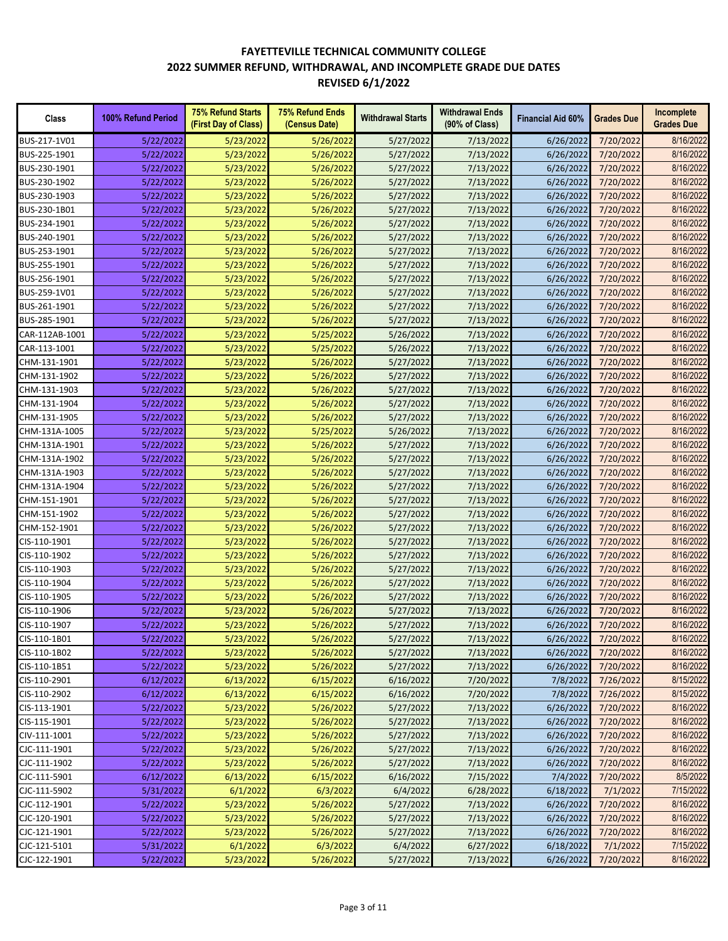| 8/16/2022<br>BUS-217-1V01<br>5/23/2022<br>5/26/2022<br>5/27/2022<br>7/13/2022<br>7/20/2022<br>5/22/2022<br>6/26/2022<br>8/16/2022<br>BUS-225-1901<br>5/22/2022<br>5/23/2022<br>5/26/2022<br>5/27/2022<br>7/13/2022<br>6/26/2022<br>7/20/2022<br>8/16/2022<br>BUS-230-1901<br>5/22/2022<br>5/23/2022<br>5/26/2022<br>5/27/2022<br>7/13/2022<br>6/26/2022<br>7/20/2022<br>8/16/2022<br>BUS-230-1902<br>5/23/2022<br>5/26/2022<br>7/13/2022<br>7/20/2022<br>5/22/2022<br>5/27/2022<br>6/26/2022<br>8/16/2022<br>BUS-230-1903<br>5/22/2022<br>5/23/2022<br>5/26/2022<br>7/13/2022<br>6/26/2022<br>7/20/2022<br>5/27/2022<br>5/26/2022<br>8/16/2022<br>BUS-230-1B01<br>5/22/2022<br>5/23/2022<br>5/27/2022<br>7/13/2022<br>6/26/2022<br>7/20/2022<br>8/16/2022<br>BUS-234-1901<br>5/23/2022<br>5/26/2022<br>5/22/2022<br>5/27/2022<br>7/13/2022<br>6/26/2022<br>7/20/2022<br>8/16/2022<br>BUS-240-1901<br>5/23/2022<br>5/26/2022<br>7/20/2022<br>5/22/2022<br>5/27/2022<br>7/13/2022<br>6/26/2022<br>8/16/2022<br>BUS-253-1901<br>5/23/2022<br>5/26/2022<br>5/27/2022<br>7/13/2022<br>6/26/2022<br>7/20/2022<br>5/22/2022<br>8/16/2022<br>BUS-255-1901<br>5/22/2022<br>5/23/2022<br>5/26/2022<br>5/27/2022<br>7/13/2022<br>6/26/2022<br>7/20/2022<br>8/16/2022<br>5/26/2022<br>BUS-256-1901<br>5/22/2022<br>5/23/2022<br>5/27/2022<br>7/13/2022<br>6/26/2022<br>7/20/2022<br>8/16/2022<br>5/26/2022<br>5/27/2022<br>BUS-259-1V01<br>5/22/2022<br>5/23/2022<br>7/13/2022<br>6/26/2022<br>7/20/2022<br>8/16/2022<br>BUS-261-1901<br>5/22/2022<br>5/23/2022<br>5/26/2022<br>5/27/2022<br>7/13/2022<br>6/26/2022<br>7/20/2022<br>8/16/2022<br>BUS-285-1901<br>5/23/2022<br>5/26/2022<br>7/13/2022<br>5/22/2022<br>5/27/2022<br>6/26/2022<br>7/20/2022<br>8/16/2022<br>CAR-112AB-1001<br>5/23/2022<br>5/25/2022<br>5/26/2022<br>7/13/2022<br>7/20/2022<br>5/22/2022<br>6/26/2022<br>8/16/2022<br>5/23/2022<br>5/25/2022<br>5/26/2022<br>7/13/2022<br>CAR-113-1001<br>5/22/2022<br>6/26/2022<br>7/20/2022<br>8/16/2022<br>5/26/2022<br>5/27/2022<br>CHM-131-1901<br>5/22/2022<br>5/23/2022<br>7/13/2022<br>6/26/2022<br>7/20/2022<br>8/16/2022<br>CHM-131-1902<br>5/22/2022<br>5/23/2022<br>5/26/2022<br>5/27/2022<br>7/13/2022<br>6/26/2022<br>7/20/2022<br>8/16/2022<br>CHM-131-1903<br>5/22/2022<br>5/23/2022<br>5/26/2022<br>5/27/2022<br>7/13/2022<br>6/26/2022<br>7/20/2022<br>8/16/2022<br>CHM-131-1904<br>5/22/2022<br>5/23/2022<br>5/26/2022<br>5/27/2022<br>7/13/2022<br>6/26/2022<br>7/20/2022<br>8/16/2022<br>5/23/2022<br>5/26/2022<br>7/20/2022<br>CHM-131-1905<br>5/22/2022<br>5/27/2022<br>7/13/2022<br>6/26/2022<br>8/16/2022<br>5/23/2022<br>5/25/2022<br>6/26/2022<br>7/20/2022<br>CHM-131A-1005<br>5/22/2022<br>5/26/2022<br>7/13/2022<br>8/16/2022<br>CHM-131A-1901<br>5/22/2022<br>5/23/2022<br>5/26/2022<br>5/27/2022<br>7/13/2022<br>6/26/2022<br>7/20/2022<br>8/16/2022<br>5/23/2022<br>5/26/2022<br>CHM-131A-1902<br>5/22/2022<br>5/27/2022<br>7/13/2022<br>6/26/2022<br>7/20/2022<br>8/16/2022<br>5/23/2022<br>CHM-131A-1903<br>5/22/2022<br>5/26/2022<br>5/27/2022<br>7/13/2022<br>6/26/2022<br>7/20/2022<br>8/16/2022<br>CHM-131A-1904<br>5/22/2022<br>5/23/2022<br>5/26/2022<br>5/27/2022<br>7/13/2022<br>6/26/2022<br>7/20/2022<br>CHM-151-1901<br>5/23/2022<br>7/13/2022<br>8/16/2022<br>5/22/2022<br>5/26/2022<br>5/27/2022<br>6/26/2022<br>7/20/2022<br>8/16/2022<br>CHM-151-1902<br>5/22/2022<br>5/23/2022<br>5/26/2022<br>5/27/2022<br>7/13/2022<br>6/26/2022<br>7/20/2022<br>8/16/2022<br>CHM-152-1901<br>5/22/2022<br>5/23/2022<br>5/26/2022<br>5/27/2022<br>7/13/2022<br>6/26/2022<br>7/20/2022<br>8/16/2022<br>CIS-110-1901<br>5/23/2022<br>5/26/2022<br>5/27/2022<br>7/13/2022<br>6/26/2022<br>7/20/2022<br>5/22/2022<br>8/16/2022<br>CIS-110-1902<br>5/23/2022<br>5/26/2022<br>7/13/2022<br>5/22/2022<br>5/27/2022<br>6/26/2022<br>7/20/2022<br>8/16/2022<br>CIS-110-1903<br>5/23/2022<br>5/26/2022<br>7/13/2022<br>5/22/2022<br>5/27/2022<br>6/26/2022<br>7/20/2022<br>8/16/2022<br>CIS-110-1904<br>5/23/2022<br>5/26/2022<br>5/27/2022<br>7/13/2022<br>7/20/2022<br>5/22/2022<br>6/26/2022<br>8/16/2022<br>CIS-110-1905<br>5/23/2022<br>5/26/2022<br>5/27/2022<br>7/13/2022<br>7/20/2022<br>5/22/2022<br>6/26/2022<br>CIS-110-1906<br>8/16/2022<br>5/22/2022<br>5/23/2022<br>5/26/2022<br>5/27/2022<br>7/13/2022<br>6/26/2022<br>7/20/2022<br>8/16/2022<br>CIS-110-1907<br>5/22/2022<br>5/23/2022<br>5/26/2022<br>5/27/2022<br>7/13/2022<br>6/26/2022<br>7/20/2022<br>CIS-110-1B01<br>5/22/2022<br>5/23/2022<br>5/26/2022<br>5/27/2022<br>7/13/2022<br>6/26/2022<br>7/20/2022<br>8/16/2022<br>8/16/2022<br>5/26/2022<br>7/20/2022<br>CIS-110-1B02<br>5/22/2022<br>5/23/2022<br>5/27/2022<br>7/13/2022<br>6/26/2022<br>8/16/2022<br>CIS-110-1B51<br>5/23/2022<br>5/26/2022<br>7/20/2022<br>5/22/2022<br>5/27/2022<br>7/13/2022<br>6/26/2022<br>8/15/2022<br>CIS-110-2901<br>6/13/2022<br>6/15/2022<br>6/16/2022<br>7/20/2022<br>7/8/2022<br>7/26/2022<br>6/12/2022<br>8/15/2022<br>CIS-110-2902<br>6/12/2022<br>6/13/2022<br>6/15/2022<br>6/16/2022<br>7/20/2022<br>7/8/2022<br>7/26/2022<br>8/16/2022<br>CIS-113-1901<br>5/22/2022<br>5/23/2022<br>5/26/2022<br>5/27/2022<br>7/13/2022<br>6/26/2022<br>7/20/2022<br>8/16/2022<br>CIS-115-1901<br>5/22/2022<br>5/23/2022<br>5/26/2022<br>7/13/2022<br>6/26/2022<br>7/20/2022<br>5/27/2022<br>8/16/2022<br>CIV-111-1001<br>5/22/2022<br>5/23/2022<br>5/26/2022<br>5/27/2022<br>7/13/2022<br>6/26/2022<br>7/20/2022<br>8/16/2022<br>CJC-111-1901<br>5/22/2022<br>5/23/2022<br>5/26/2022<br>5/27/2022<br>7/13/2022<br>6/26/2022<br>7/20/2022<br>8/16/2022<br>5/22/2022<br>5/23/2022<br>5/26/2022<br>5/27/2022<br>7/13/2022<br>6/26/2022<br>7/20/2022<br>CJC-111-1902<br>8/5/2022<br>CJC-111-5901<br>6/12/2022<br>6/13/2022<br>6/15/2022<br>6/16/2022<br>7/15/2022<br>7/4/2022<br>7/20/2022<br>6/1/2022<br>6/3/2022<br>7/1/2022<br>7/15/2022<br>CJC-111-5902<br>5/31/2022<br>6/4/2022<br>6/28/2022<br>6/18/2022<br>8/16/2022<br>CJC-112-1901<br>5/22/2022<br>5/23/2022<br>5/26/2022<br>5/27/2022<br>7/13/2022<br>6/26/2022<br>7/20/2022<br>8/16/2022<br>CJC-120-1901<br>5/23/2022<br>5/26/2022<br>5/27/2022<br>7/13/2022<br>6/26/2022<br>7/20/2022<br>5/22/2022<br>8/16/2022<br>CJC-121-1901<br>5/23/2022<br>5/26/2022<br>5/27/2022<br>7/13/2022<br>6/26/2022<br>7/20/2022<br>5/22/2022<br>7/15/2022<br>CJC-121-5101<br>5/31/2022<br>6/1/2022<br>6/3/2022<br>6/4/2022<br>6/27/2022<br>6/18/2022<br>7/1/2022 | <b>Class</b> | 100% Refund Period | <b>75% Refund Starts</b><br>(First Day of Class) | <b>75% Refund Ends</b><br>(Census Date) | <b>Withdrawal Starts</b> | <b>Withdrawal Ends</b><br>(90% of Class) | <b>Financial Aid 60%</b> | <b>Grades Due</b> | Incomplete<br><b>Grades Due</b> |
|-----------------------------------------------------------------------------------------------------------------------------------------------------------------------------------------------------------------------------------------------------------------------------------------------------------------------------------------------------------------------------------------------------------------------------------------------------------------------------------------------------------------------------------------------------------------------------------------------------------------------------------------------------------------------------------------------------------------------------------------------------------------------------------------------------------------------------------------------------------------------------------------------------------------------------------------------------------------------------------------------------------------------------------------------------------------------------------------------------------------------------------------------------------------------------------------------------------------------------------------------------------------------------------------------------------------------------------------------------------------------------------------------------------------------------------------------------------------------------------------------------------------------------------------------------------------------------------------------------------------------------------------------------------------------------------------------------------------------------------------------------------------------------------------------------------------------------------------------------------------------------------------------------------------------------------------------------------------------------------------------------------------------------------------------------------------------------------------------------------------------------------------------------------------------------------------------------------------------------------------------------------------------------------------------------------------------------------------------------------------------------------------------------------------------------------------------------------------------------------------------------------------------------------------------------------------------------------------------------------------------------------------------------------------------------------------------------------------------------------------------------------------------------------------------------------------------------------------------------------------------------------------------------------------------------------------------------------------------------------------------------------------------------------------------------------------------------------------------------------------------------------------------------------------------------------------------------------------------------------------------------------------------------------------------------------------------------------------------------------------------------------------------------------------------------------------------------------------------------------------------------------------------------------------------------------------------------------------------------------------------------------------------------------------------------------------------------------------------------------------------------------------------------------------------------------------------------------------------------------------------------------------------------------------------------------------------------------------------------------------------------------------------------------------------------------------------------------------------------------------------------------------------------------------------------------------------------------------------------------------------------------------------------------------------------------------------------------------------------------------------------------------------------------------------------------------------------------------------------------------------------------------------------------------------------------------------------------------------------------------------------------------------------------------------------------------------------------------------------------------------------------------------------------------------------------------------------------------------------------------------------------------------------------------------------------------------------------------------------------------------------------------------------------------------------------------------------------------------------------------------------------------------------------------------------------------------------------------------------------------------------------------------------------------------------------------------------------------------------------------------------------------------------------------------------------------------------------------------------------------------------------------------------------------------------------------------------------------------------------------------------------------------------------------------------------------------------------------------------------------------------------------------------------------------------------------------------------------------------------------------------------------------------------------------------------------------------------------------------------------------------------------------------------------------------------------------------------------------------------------------------------------------------------------------------------------------------------------------------------------------------------------------------------------------------------------------------------------------------------------------------------------------------------------------------------------------------------------------------------------|--------------|--------------------|--------------------------------------------------|-----------------------------------------|--------------------------|------------------------------------------|--------------------------|-------------------|---------------------------------|
|                                                                                                                                                                                                                                                                                                                                                                                                                                                                                                                                                                                                                                                                                                                                                                                                                                                                                                                                                                                                                                                                                                                                                                                                                                                                                                                                                                                                                                                                                                                                                                                                                                                                                                                                                                                                                                                                                                                                                                                                                                                                                                                                                                                                                                                                                                                                                                                                                                                                                                                                                                                                                                                                                                                                                                                                                                                                                                                                                                                                                                                                                                                                                                                                                                                                                                                                                                                                                                                                                                                                                                                                                                                                                                                                                                                                                                                                                                                                                                                                                                                                                                                                                                                                                                                                                                                                                                                                                                                                                                                                                                                                                                                                                                                                                                                                                                                                                                                                                                                                                                                                                                                                                                                                                                                                                                                                                                                                                                                                                                                                                                                                                                                                                                                                                                                                                                                                                                                                                                                                                                                                                                                                                                                                                                                                                                                                                                                                                                                                                         |              |                    |                                                  |                                         |                          |                                          |                          |                   |                                 |
|                                                                                                                                                                                                                                                                                                                                                                                                                                                                                                                                                                                                                                                                                                                                                                                                                                                                                                                                                                                                                                                                                                                                                                                                                                                                                                                                                                                                                                                                                                                                                                                                                                                                                                                                                                                                                                                                                                                                                                                                                                                                                                                                                                                                                                                                                                                                                                                                                                                                                                                                                                                                                                                                                                                                                                                                                                                                                                                                                                                                                                                                                                                                                                                                                                                                                                                                                                                                                                                                                                                                                                                                                                                                                                                                                                                                                                                                                                                                                                                                                                                                                                                                                                                                                                                                                                                                                                                                                                                                                                                                                                                                                                                                                                                                                                                                                                                                                                                                                                                                                                                                                                                                                                                                                                                                                                                                                                                                                                                                                                                                                                                                                                                                                                                                                                                                                                                                                                                                                                                                                                                                                                                                                                                                                                                                                                                                                                                                                                                                                         |              |                    |                                                  |                                         |                          |                                          |                          |                   |                                 |
|                                                                                                                                                                                                                                                                                                                                                                                                                                                                                                                                                                                                                                                                                                                                                                                                                                                                                                                                                                                                                                                                                                                                                                                                                                                                                                                                                                                                                                                                                                                                                                                                                                                                                                                                                                                                                                                                                                                                                                                                                                                                                                                                                                                                                                                                                                                                                                                                                                                                                                                                                                                                                                                                                                                                                                                                                                                                                                                                                                                                                                                                                                                                                                                                                                                                                                                                                                                                                                                                                                                                                                                                                                                                                                                                                                                                                                                                                                                                                                                                                                                                                                                                                                                                                                                                                                                                                                                                                                                                                                                                                                                                                                                                                                                                                                                                                                                                                                                                                                                                                                                                                                                                                                                                                                                                                                                                                                                                                                                                                                                                                                                                                                                                                                                                                                                                                                                                                                                                                                                                                                                                                                                                                                                                                                                                                                                                                                                                                                                                                         |              |                    |                                                  |                                         |                          |                                          |                          |                   |                                 |
|                                                                                                                                                                                                                                                                                                                                                                                                                                                                                                                                                                                                                                                                                                                                                                                                                                                                                                                                                                                                                                                                                                                                                                                                                                                                                                                                                                                                                                                                                                                                                                                                                                                                                                                                                                                                                                                                                                                                                                                                                                                                                                                                                                                                                                                                                                                                                                                                                                                                                                                                                                                                                                                                                                                                                                                                                                                                                                                                                                                                                                                                                                                                                                                                                                                                                                                                                                                                                                                                                                                                                                                                                                                                                                                                                                                                                                                                                                                                                                                                                                                                                                                                                                                                                                                                                                                                                                                                                                                                                                                                                                                                                                                                                                                                                                                                                                                                                                                                                                                                                                                                                                                                                                                                                                                                                                                                                                                                                                                                                                                                                                                                                                                                                                                                                                                                                                                                                                                                                                                                                                                                                                                                                                                                                                                                                                                                                                                                                                                                                         |              |                    |                                                  |                                         |                          |                                          |                          |                   |                                 |
|                                                                                                                                                                                                                                                                                                                                                                                                                                                                                                                                                                                                                                                                                                                                                                                                                                                                                                                                                                                                                                                                                                                                                                                                                                                                                                                                                                                                                                                                                                                                                                                                                                                                                                                                                                                                                                                                                                                                                                                                                                                                                                                                                                                                                                                                                                                                                                                                                                                                                                                                                                                                                                                                                                                                                                                                                                                                                                                                                                                                                                                                                                                                                                                                                                                                                                                                                                                                                                                                                                                                                                                                                                                                                                                                                                                                                                                                                                                                                                                                                                                                                                                                                                                                                                                                                                                                                                                                                                                                                                                                                                                                                                                                                                                                                                                                                                                                                                                                                                                                                                                                                                                                                                                                                                                                                                                                                                                                                                                                                                                                                                                                                                                                                                                                                                                                                                                                                                                                                                                                                                                                                                                                                                                                                                                                                                                                                                                                                                                                                         |              |                    |                                                  |                                         |                          |                                          |                          |                   |                                 |
|                                                                                                                                                                                                                                                                                                                                                                                                                                                                                                                                                                                                                                                                                                                                                                                                                                                                                                                                                                                                                                                                                                                                                                                                                                                                                                                                                                                                                                                                                                                                                                                                                                                                                                                                                                                                                                                                                                                                                                                                                                                                                                                                                                                                                                                                                                                                                                                                                                                                                                                                                                                                                                                                                                                                                                                                                                                                                                                                                                                                                                                                                                                                                                                                                                                                                                                                                                                                                                                                                                                                                                                                                                                                                                                                                                                                                                                                                                                                                                                                                                                                                                                                                                                                                                                                                                                                                                                                                                                                                                                                                                                                                                                                                                                                                                                                                                                                                                                                                                                                                                                                                                                                                                                                                                                                                                                                                                                                                                                                                                                                                                                                                                                                                                                                                                                                                                                                                                                                                                                                                                                                                                                                                                                                                                                                                                                                                                                                                                                                                         |              |                    |                                                  |                                         |                          |                                          |                          |                   |                                 |
|                                                                                                                                                                                                                                                                                                                                                                                                                                                                                                                                                                                                                                                                                                                                                                                                                                                                                                                                                                                                                                                                                                                                                                                                                                                                                                                                                                                                                                                                                                                                                                                                                                                                                                                                                                                                                                                                                                                                                                                                                                                                                                                                                                                                                                                                                                                                                                                                                                                                                                                                                                                                                                                                                                                                                                                                                                                                                                                                                                                                                                                                                                                                                                                                                                                                                                                                                                                                                                                                                                                                                                                                                                                                                                                                                                                                                                                                                                                                                                                                                                                                                                                                                                                                                                                                                                                                                                                                                                                                                                                                                                                                                                                                                                                                                                                                                                                                                                                                                                                                                                                                                                                                                                                                                                                                                                                                                                                                                                                                                                                                                                                                                                                                                                                                                                                                                                                                                                                                                                                                                                                                                                                                                                                                                                                                                                                                                                                                                                                                                         |              |                    |                                                  |                                         |                          |                                          |                          |                   |                                 |
|                                                                                                                                                                                                                                                                                                                                                                                                                                                                                                                                                                                                                                                                                                                                                                                                                                                                                                                                                                                                                                                                                                                                                                                                                                                                                                                                                                                                                                                                                                                                                                                                                                                                                                                                                                                                                                                                                                                                                                                                                                                                                                                                                                                                                                                                                                                                                                                                                                                                                                                                                                                                                                                                                                                                                                                                                                                                                                                                                                                                                                                                                                                                                                                                                                                                                                                                                                                                                                                                                                                                                                                                                                                                                                                                                                                                                                                                                                                                                                                                                                                                                                                                                                                                                                                                                                                                                                                                                                                                                                                                                                                                                                                                                                                                                                                                                                                                                                                                                                                                                                                                                                                                                                                                                                                                                                                                                                                                                                                                                                                                                                                                                                                                                                                                                                                                                                                                                                                                                                                                                                                                                                                                                                                                                                                                                                                                                                                                                                                                                         |              |                    |                                                  |                                         |                          |                                          |                          |                   |                                 |
|                                                                                                                                                                                                                                                                                                                                                                                                                                                                                                                                                                                                                                                                                                                                                                                                                                                                                                                                                                                                                                                                                                                                                                                                                                                                                                                                                                                                                                                                                                                                                                                                                                                                                                                                                                                                                                                                                                                                                                                                                                                                                                                                                                                                                                                                                                                                                                                                                                                                                                                                                                                                                                                                                                                                                                                                                                                                                                                                                                                                                                                                                                                                                                                                                                                                                                                                                                                                                                                                                                                                                                                                                                                                                                                                                                                                                                                                                                                                                                                                                                                                                                                                                                                                                                                                                                                                                                                                                                                                                                                                                                                                                                                                                                                                                                                                                                                                                                                                                                                                                                                                                                                                                                                                                                                                                                                                                                                                                                                                                                                                                                                                                                                                                                                                                                                                                                                                                                                                                                                                                                                                                                                                                                                                                                                                                                                                                                                                                                                                                         |              |                    |                                                  |                                         |                          |                                          |                          |                   |                                 |
|                                                                                                                                                                                                                                                                                                                                                                                                                                                                                                                                                                                                                                                                                                                                                                                                                                                                                                                                                                                                                                                                                                                                                                                                                                                                                                                                                                                                                                                                                                                                                                                                                                                                                                                                                                                                                                                                                                                                                                                                                                                                                                                                                                                                                                                                                                                                                                                                                                                                                                                                                                                                                                                                                                                                                                                                                                                                                                                                                                                                                                                                                                                                                                                                                                                                                                                                                                                                                                                                                                                                                                                                                                                                                                                                                                                                                                                                                                                                                                                                                                                                                                                                                                                                                                                                                                                                                                                                                                                                                                                                                                                                                                                                                                                                                                                                                                                                                                                                                                                                                                                                                                                                                                                                                                                                                                                                                                                                                                                                                                                                                                                                                                                                                                                                                                                                                                                                                                                                                                                                                                                                                                                                                                                                                                                                                                                                                                                                                                                                                         |              |                    |                                                  |                                         |                          |                                          |                          |                   |                                 |
|                                                                                                                                                                                                                                                                                                                                                                                                                                                                                                                                                                                                                                                                                                                                                                                                                                                                                                                                                                                                                                                                                                                                                                                                                                                                                                                                                                                                                                                                                                                                                                                                                                                                                                                                                                                                                                                                                                                                                                                                                                                                                                                                                                                                                                                                                                                                                                                                                                                                                                                                                                                                                                                                                                                                                                                                                                                                                                                                                                                                                                                                                                                                                                                                                                                                                                                                                                                                                                                                                                                                                                                                                                                                                                                                                                                                                                                                                                                                                                                                                                                                                                                                                                                                                                                                                                                                                                                                                                                                                                                                                                                                                                                                                                                                                                                                                                                                                                                                                                                                                                                                                                                                                                                                                                                                                                                                                                                                                                                                                                                                                                                                                                                                                                                                                                                                                                                                                                                                                                                                                                                                                                                                                                                                                                                                                                                                                                                                                                                                                         |              |                    |                                                  |                                         |                          |                                          |                          |                   |                                 |
|                                                                                                                                                                                                                                                                                                                                                                                                                                                                                                                                                                                                                                                                                                                                                                                                                                                                                                                                                                                                                                                                                                                                                                                                                                                                                                                                                                                                                                                                                                                                                                                                                                                                                                                                                                                                                                                                                                                                                                                                                                                                                                                                                                                                                                                                                                                                                                                                                                                                                                                                                                                                                                                                                                                                                                                                                                                                                                                                                                                                                                                                                                                                                                                                                                                                                                                                                                                                                                                                                                                                                                                                                                                                                                                                                                                                                                                                                                                                                                                                                                                                                                                                                                                                                                                                                                                                                                                                                                                                                                                                                                                                                                                                                                                                                                                                                                                                                                                                                                                                                                                                                                                                                                                                                                                                                                                                                                                                                                                                                                                                                                                                                                                                                                                                                                                                                                                                                                                                                                                                                                                                                                                                                                                                                                                                                                                                                                                                                                                                                         |              |                    |                                                  |                                         |                          |                                          |                          |                   |                                 |
|                                                                                                                                                                                                                                                                                                                                                                                                                                                                                                                                                                                                                                                                                                                                                                                                                                                                                                                                                                                                                                                                                                                                                                                                                                                                                                                                                                                                                                                                                                                                                                                                                                                                                                                                                                                                                                                                                                                                                                                                                                                                                                                                                                                                                                                                                                                                                                                                                                                                                                                                                                                                                                                                                                                                                                                                                                                                                                                                                                                                                                                                                                                                                                                                                                                                                                                                                                                                                                                                                                                                                                                                                                                                                                                                                                                                                                                                                                                                                                                                                                                                                                                                                                                                                                                                                                                                                                                                                                                                                                                                                                                                                                                                                                                                                                                                                                                                                                                                                                                                                                                                                                                                                                                                                                                                                                                                                                                                                                                                                                                                                                                                                                                                                                                                                                                                                                                                                                                                                                                                                                                                                                                                                                                                                                                                                                                                                                                                                                                                                         |              |                    |                                                  |                                         |                          |                                          |                          |                   |                                 |
|                                                                                                                                                                                                                                                                                                                                                                                                                                                                                                                                                                                                                                                                                                                                                                                                                                                                                                                                                                                                                                                                                                                                                                                                                                                                                                                                                                                                                                                                                                                                                                                                                                                                                                                                                                                                                                                                                                                                                                                                                                                                                                                                                                                                                                                                                                                                                                                                                                                                                                                                                                                                                                                                                                                                                                                                                                                                                                                                                                                                                                                                                                                                                                                                                                                                                                                                                                                                                                                                                                                                                                                                                                                                                                                                                                                                                                                                                                                                                                                                                                                                                                                                                                                                                                                                                                                                                                                                                                                                                                                                                                                                                                                                                                                                                                                                                                                                                                                                                                                                                                                                                                                                                                                                                                                                                                                                                                                                                                                                                                                                                                                                                                                                                                                                                                                                                                                                                                                                                                                                                                                                                                                                                                                                                                                                                                                                                                                                                                                                                         |              |                    |                                                  |                                         |                          |                                          |                          |                   |                                 |
|                                                                                                                                                                                                                                                                                                                                                                                                                                                                                                                                                                                                                                                                                                                                                                                                                                                                                                                                                                                                                                                                                                                                                                                                                                                                                                                                                                                                                                                                                                                                                                                                                                                                                                                                                                                                                                                                                                                                                                                                                                                                                                                                                                                                                                                                                                                                                                                                                                                                                                                                                                                                                                                                                                                                                                                                                                                                                                                                                                                                                                                                                                                                                                                                                                                                                                                                                                                                                                                                                                                                                                                                                                                                                                                                                                                                                                                                                                                                                                                                                                                                                                                                                                                                                                                                                                                                                                                                                                                                                                                                                                                                                                                                                                                                                                                                                                                                                                                                                                                                                                                                                                                                                                                                                                                                                                                                                                                                                                                                                                                                                                                                                                                                                                                                                                                                                                                                                                                                                                                                                                                                                                                                                                                                                                                                                                                                                                                                                                                                                         |              |                    |                                                  |                                         |                          |                                          |                          |                   |                                 |
|                                                                                                                                                                                                                                                                                                                                                                                                                                                                                                                                                                                                                                                                                                                                                                                                                                                                                                                                                                                                                                                                                                                                                                                                                                                                                                                                                                                                                                                                                                                                                                                                                                                                                                                                                                                                                                                                                                                                                                                                                                                                                                                                                                                                                                                                                                                                                                                                                                                                                                                                                                                                                                                                                                                                                                                                                                                                                                                                                                                                                                                                                                                                                                                                                                                                                                                                                                                                                                                                                                                                                                                                                                                                                                                                                                                                                                                                                                                                                                                                                                                                                                                                                                                                                                                                                                                                                                                                                                                                                                                                                                                                                                                                                                                                                                                                                                                                                                                                                                                                                                                                                                                                                                                                                                                                                                                                                                                                                                                                                                                                                                                                                                                                                                                                                                                                                                                                                                                                                                                                                                                                                                                                                                                                                                                                                                                                                                                                                                                                                         |              |                    |                                                  |                                         |                          |                                          |                          |                   |                                 |
|                                                                                                                                                                                                                                                                                                                                                                                                                                                                                                                                                                                                                                                                                                                                                                                                                                                                                                                                                                                                                                                                                                                                                                                                                                                                                                                                                                                                                                                                                                                                                                                                                                                                                                                                                                                                                                                                                                                                                                                                                                                                                                                                                                                                                                                                                                                                                                                                                                                                                                                                                                                                                                                                                                                                                                                                                                                                                                                                                                                                                                                                                                                                                                                                                                                                                                                                                                                                                                                                                                                                                                                                                                                                                                                                                                                                                                                                                                                                                                                                                                                                                                                                                                                                                                                                                                                                                                                                                                                                                                                                                                                                                                                                                                                                                                                                                                                                                                                                                                                                                                                                                                                                                                                                                                                                                                                                                                                                                                                                                                                                                                                                                                                                                                                                                                                                                                                                                                                                                                                                                                                                                                                                                                                                                                                                                                                                                                                                                                                                                         |              |                    |                                                  |                                         |                          |                                          |                          |                   |                                 |
|                                                                                                                                                                                                                                                                                                                                                                                                                                                                                                                                                                                                                                                                                                                                                                                                                                                                                                                                                                                                                                                                                                                                                                                                                                                                                                                                                                                                                                                                                                                                                                                                                                                                                                                                                                                                                                                                                                                                                                                                                                                                                                                                                                                                                                                                                                                                                                                                                                                                                                                                                                                                                                                                                                                                                                                                                                                                                                                                                                                                                                                                                                                                                                                                                                                                                                                                                                                                                                                                                                                                                                                                                                                                                                                                                                                                                                                                                                                                                                                                                                                                                                                                                                                                                                                                                                                                                                                                                                                                                                                                                                                                                                                                                                                                                                                                                                                                                                                                                                                                                                                                                                                                                                                                                                                                                                                                                                                                                                                                                                                                                                                                                                                                                                                                                                                                                                                                                                                                                                                                                                                                                                                                                                                                                                                                                                                                                                                                                                                                                         |              |                    |                                                  |                                         |                          |                                          |                          |                   |                                 |
|                                                                                                                                                                                                                                                                                                                                                                                                                                                                                                                                                                                                                                                                                                                                                                                                                                                                                                                                                                                                                                                                                                                                                                                                                                                                                                                                                                                                                                                                                                                                                                                                                                                                                                                                                                                                                                                                                                                                                                                                                                                                                                                                                                                                                                                                                                                                                                                                                                                                                                                                                                                                                                                                                                                                                                                                                                                                                                                                                                                                                                                                                                                                                                                                                                                                                                                                                                                                                                                                                                                                                                                                                                                                                                                                                                                                                                                                                                                                                                                                                                                                                                                                                                                                                                                                                                                                                                                                                                                                                                                                                                                                                                                                                                                                                                                                                                                                                                                                                                                                                                                                                                                                                                                                                                                                                                                                                                                                                                                                                                                                                                                                                                                                                                                                                                                                                                                                                                                                                                                                                                                                                                                                                                                                                                                                                                                                                                                                                                                                                         |              |                    |                                                  |                                         |                          |                                          |                          |                   |                                 |
|                                                                                                                                                                                                                                                                                                                                                                                                                                                                                                                                                                                                                                                                                                                                                                                                                                                                                                                                                                                                                                                                                                                                                                                                                                                                                                                                                                                                                                                                                                                                                                                                                                                                                                                                                                                                                                                                                                                                                                                                                                                                                                                                                                                                                                                                                                                                                                                                                                                                                                                                                                                                                                                                                                                                                                                                                                                                                                                                                                                                                                                                                                                                                                                                                                                                                                                                                                                                                                                                                                                                                                                                                                                                                                                                                                                                                                                                                                                                                                                                                                                                                                                                                                                                                                                                                                                                                                                                                                                                                                                                                                                                                                                                                                                                                                                                                                                                                                                                                                                                                                                                                                                                                                                                                                                                                                                                                                                                                                                                                                                                                                                                                                                                                                                                                                                                                                                                                                                                                                                                                                                                                                                                                                                                                                                                                                                                                                                                                                                                                         |              |                    |                                                  |                                         |                          |                                          |                          |                   |                                 |
|                                                                                                                                                                                                                                                                                                                                                                                                                                                                                                                                                                                                                                                                                                                                                                                                                                                                                                                                                                                                                                                                                                                                                                                                                                                                                                                                                                                                                                                                                                                                                                                                                                                                                                                                                                                                                                                                                                                                                                                                                                                                                                                                                                                                                                                                                                                                                                                                                                                                                                                                                                                                                                                                                                                                                                                                                                                                                                                                                                                                                                                                                                                                                                                                                                                                                                                                                                                                                                                                                                                                                                                                                                                                                                                                                                                                                                                                                                                                                                                                                                                                                                                                                                                                                                                                                                                                                                                                                                                                                                                                                                                                                                                                                                                                                                                                                                                                                                                                                                                                                                                                                                                                                                                                                                                                                                                                                                                                                                                                                                                                                                                                                                                                                                                                                                                                                                                                                                                                                                                                                                                                                                                                                                                                                                                                                                                                                                                                                                                                                         |              |                    |                                                  |                                         |                          |                                          |                          |                   |                                 |
|                                                                                                                                                                                                                                                                                                                                                                                                                                                                                                                                                                                                                                                                                                                                                                                                                                                                                                                                                                                                                                                                                                                                                                                                                                                                                                                                                                                                                                                                                                                                                                                                                                                                                                                                                                                                                                                                                                                                                                                                                                                                                                                                                                                                                                                                                                                                                                                                                                                                                                                                                                                                                                                                                                                                                                                                                                                                                                                                                                                                                                                                                                                                                                                                                                                                                                                                                                                                                                                                                                                                                                                                                                                                                                                                                                                                                                                                                                                                                                                                                                                                                                                                                                                                                                                                                                                                                                                                                                                                                                                                                                                                                                                                                                                                                                                                                                                                                                                                                                                                                                                                                                                                                                                                                                                                                                                                                                                                                                                                                                                                                                                                                                                                                                                                                                                                                                                                                                                                                                                                                                                                                                                                                                                                                                                                                                                                                                                                                                                                                         |              |                    |                                                  |                                         |                          |                                          |                          |                   |                                 |
|                                                                                                                                                                                                                                                                                                                                                                                                                                                                                                                                                                                                                                                                                                                                                                                                                                                                                                                                                                                                                                                                                                                                                                                                                                                                                                                                                                                                                                                                                                                                                                                                                                                                                                                                                                                                                                                                                                                                                                                                                                                                                                                                                                                                                                                                                                                                                                                                                                                                                                                                                                                                                                                                                                                                                                                                                                                                                                                                                                                                                                                                                                                                                                                                                                                                                                                                                                                                                                                                                                                                                                                                                                                                                                                                                                                                                                                                                                                                                                                                                                                                                                                                                                                                                                                                                                                                                                                                                                                                                                                                                                                                                                                                                                                                                                                                                                                                                                                                                                                                                                                                                                                                                                                                                                                                                                                                                                                                                                                                                                                                                                                                                                                                                                                                                                                                                                                                                                                                                                                                                                                                                                                                                                                                                                                                                                                                                                                                                                                                                         |              |                    |                                                  |                                         |                          |                                          |                          |                   |                                 |
|                                                                                                                                                                                                                                                                                                                                                                                                                                                                                                                                                                                                                                                                                                                                                                                                                                                                                                                                                                                                                                                                                                                                                                                                                                                                                                                                                                                                                                                                                                                                                                                                                                                                                                                                                                                                                                                                                                                                                                                                                                                                                                                                                                                                                                                                                                                                                                                                                                                                                                                                                                                                                                                                                                                                                                                                                                                                                                                                                                                                                                                                                                                                                                                                                                                                                                                                                                                                                                                                                                                                                                                                                                                                                                                                                                                                                                                                                                                                                                                                                                                                                                                                                                                                                                                                                                                                                                                                                                                                                                                                                                                                                                                                                                                                                                                                                                                                                                                                                                                                                                                                                                                                                                                                                                                                                                                                                                                                                                                                                                                                                                                                                                                                                                                                                                                                                                                                                                                                                                                                                                                                                                                                                                                                                                                                                                                                                                                                                                                                                         |              |                    |                                                  |                                         |                          |                                          |                          |                   |                                 |
|                                                                                                                                                                                                                                                                                                                                                                                                                                                                                                                                                                                                                                                                                                                                                                                                                                                                                                                                                                                                                                                                                                                                                                                                                                                                                                                                                                                                                                                                                                                                                                                                                                                                                                                                                                                                                                                                                                                                                                                                                                                                                                                                                                                                                                                                                                                                                                                                                                                                                                                                                                                                                                                                                                                                                                                                                                                                                                                                                                                                                                                                                                                                                                                                                                                                                                                                                                                                                                                                                                                                                                                                                                                                                                                                                                                                                                                                                                                                                                                                                                                                                                                                                                                                                                                                                                                                                                                                                                                                                                                                                                                                                                                                                                                                                                                                                                                                                                                                                                                                                                                                                                                                                                                                                                                                                                                                                                                                                                                                                                                                                                                                                                                                                                                                                                                                                                                                                                                                                                                                                                                                                                                                                                                                                                                                                                                                                                                                                                                                                         |              |                    |                                                  |                                         |                          |                                          |                          |                   |                                 |
|                                                                                                                                                                                                                                                                                                                                                                                                                                                                                                                                                                                                                                                                                                                                                                                                                                                                                                                                                                                                                                                                                                                                                                                                                                                                                                                                                                                                                                                                                                                                                                                                                                                                                                                                                                                                                                                                                                                                                                                                                                                                                                                                                                                                                                                                                                                                                                                                                                                                                                                                                                                                                                                                                                                                                                                                                                                                                                                                                                                                                                                                                                                                                                                                                                                                                                                                                                                                                                                                                                                                                                                                                                                                                                                                                                                                                                                                                                                                                                                                                                                                                                                                                                                                                                                                                                                                                                                                                                                                                                                                                                                                                                                                                                                                                                                                                                                                                                                                                                                                                                                                                                                                                                                                                                                                                                                                                                                                                                                                                                                                                                                                                                                                                                                                                                                                                                                                                                                                                                                                                                                                                                                                                                                                                                                                                                                                                                                                                                                                                         |              |                    |                                                  |                                         |                          |                                          |                          |                   |                                 |
|                                                                                                                                                                                                                                                                                                                                                                                                                                                                                                                                                                                                                                                                                                                                                                                                                                                                                                                                                                                                                                                                                                                                                                                                                                                                                                                                                                                                                                                                                                                                                                                                                                                                                                                                                                                                                                                                                                                                                                                                                                                                                                                                                                                                                                                                                                                                                                                                                                                                                                                                                                                                                                                                                                                                                                                                                                                                                                                                                                                                                                                                                                                                                                                                                                                                                                                                                                                                                                                                                                                                                                                                                                                                                                                                                                                                                                                                                                                                                                                                                                                                                                                                                                                                                                                                                                                                                                                                                                                                                                                                                                                                                                                                                                                                                                                                                                                                                                                                                                                                                                                                                                                                                                                                                                                                                                                                                                                                                                                                                                                                                                                                                                                                                                                                                                                                                                                                                                                                                                                                                                                                                                                                                                                                                                                                                                                                                                                                                                                                                         |              |                    |                                                  |                                         |                          |                                          |                          |                   |                                 |
|                                                                                                                                                                                                                                                                                                                                                                                                                                                                                                                                                                                                                                                                                                                                                                                                                                                                                                                                                                                                                                                                                                                                                                                                                                                                                                                                                                                                                                                                                                                                                                                                                                                                                                                                                                                                                                                                                                                                                                                                                                                                                                                                                                                                                                                                                                                                                                                                                                                                                                                                                                                                                                                                                                                                                                                                                                                                                                                                                                                                                                                                                                                                                                                                                                                                                                                                                                                                                                                                                                                                                                                                                                                                                                                                                                                                                                                                                                                                                                                                                                                                                                                                                                                                                                                                                                                                                                                                                                                                                                                                                                                                                                                                                                                                                                                                                                                                                                                                                                                                                                                                                                                                                                                                                                                                                                                                                                                                                                                                                                                                                                                                                                                                                                                                                                                                                                                                                                                                                                                                                                                                                                                                                                                                                                                                                                                                                                                                                                                                                         |              |                    |                                                  |                                         |                          |                                          |                          |                   |                                 |
|                                                                                                                                                                                                                                                                                                                                                                                                                                                                                                                                                                                                                                                                                                                                                                                                                                                                                                                                                                                                                                                                                                                                                                                                                                                                                                                                                                                                                                                                                                                                                                                                                                                                                                                                                                                                                                                                                                                                                                                                                                                                                                                                                                                                                                                                                                                                                                                                                                                                                                                                                                                                                                                                                                                                                                                                                                                                                                                                                                                                                                                                                                                                                                                                                                                                                                                                                                                                                                                                                                                                                                                                                                                                                                                                                                                                                                                                                                                                                                                                                                                                                                                                                                                                                                                                                                                                                                                                                                                                                                                                                                                                                                                                                                                                                                                                                                                                                                                                                                                                                                                                                                                                                                                                                                                                                                                                                                                                                                                                                                                                                                                                                                                                                                                                                                                                                                                                                                                                                                                                                                                                                                                                                                                                                                                                                                                                                                                                                                                                                         |              |                    |                                                  |                                         |                          |                                          |                          |                   |                                 |
|                                                                                                                                                                                                                                                                                                                                                                                                                                                                                                                                                                                                                                                                                                                                                                                                                                                                                                                                                                                                                                                                                                                                                                                                                                                                                                                                                                                                                                                                                                                                                                                                                                                                                                                                                                                                                                                                                                                                                                                                                                                                                                                                                                                                                                                                                                                                                                                                                                                                                                                                                                                                                                                                                                                                                                                                                                                                                                                                                                                                                                                                                                                                                                                                                                                                                                                                                                                                                                                                                                                                                                                                                                                                                                                                                                                                                                                                                                                                                                                                                                                                                                                                                                                                                                                                                                                                                                                                                                                                                                                                                                                                                                                                                                                                                                                                                                                                                                                                                                                                                                                                                                                                                                                                                                                                                                                                                                                                                                                                                                                                                                                                                                                                                                                                                                                                                                                                                                                                                                                                                                                                                                                                                                                                                                                                                                                                                                                                                                                                                         |              |                    |                                                  |                                         |                          |                                          |                          |                   |                                 |
|                                                                                                                                                                                                                                                                                                                                                                                                                                                                                                                                                                                                                                                                                                                                                                                                                                                                                                                                                                                                                                                                                                                                                                                                                                                                                                                                                                                                                                                                                                                                                                                                                                                                                                                                                                                                                                                                                                                                                                                                                                                                                                                                                                                                                                                                                                                                                                                                                                                                                                                                                                                                                                                                                                                                                                                                                                                                                                                                                                                                                                                                                                                                                                                                                                                                                                                                                                                                                                                                                                                                                                                                                                                                                                                                                                                                                                                                                                                                                                                                                                                                                                                                                                                                                                                                                                                                                                                                                                                                                                                                                                                                                                                                                                                                                                                                                                                                                                                                                                                                                                                                                                                                                                                                                                                                                                                                                                                                                                                                                                                                                                                                                                                                                                                                                                                                                                                                                                                                                                                                                                                                                                                                                                                                                                                                                                                                                                                                                                                                                         |              |                    |                                                  |                                         |                          |                                          |                          |                   |                                 |
|                                                                                                                                                                                                                                                                                                                                                                                                                                                                                                                                                                                                                                                                                                                                                                                                                                                                                                                                                                                                                                                                                                                                                                                                                                                                                                                                                                                                                                                                                                                                                                                                                                                                                                                                                                                                                                                                                                                                                                                                                                                                                                                                                                                                                                                                                                                                                                                                                                                                                                                                                                                                                                                                                                                                                                                                                                                                                                                                                                                                                                                                                                                                                                                                                                                                                                                                                                                                                                                                                                                                                                                                                                                                                                                                                                                                                                                                                                                                                                                                                                                                                                                                                                                                                                                                                                                                                                                                                                                                                                                                                                                                                                                                                                                                                                                                                                                                                                                                                                                                                                                                                                                                                                                                                                                                                                                                                                                                                                                                                                                                                                                                                                                                                                                                                                                                                                                                                                                                                                                                                                                                                                                                                                                                                                                                                                                                                                                                                                                                                         |              |                    |                                                  |                                         |                          |                                          |                          |                   |                                 |
|                                                                                                                                                                                                                                                                                                                                                                                                                                                                                                                                                                                                                                                                                                                                                                                                                                                                                                                                                                                                                                                                                                                                                                                                                                                                                                                                                                                                                                                                                                                                                                                                                                                                                                                                                                                                                                                                                                                                                                                                                                                                                                                                                                                                                                                                                                                                                                                                                                                                                                                                                                                                                                                                                                                                                                                                                                                                                                                                                                                                                                                                                                                                                                                                                                                                                                                                                                                                                                                                                                                                                                                                                                                                                                                                                                                                                                                                                                                                                                                                                                                                                                                                                                                                                                                                                                                                                                                                                                                                                                                                                                                                                                                                                                                                                                                                                                                                                                                                                                                                                                                                                                                                                                                                                                                                                                                                                                                                                                                                                                                                                                                                                                                                                                                                                                                                                                                                                                                                                                                                                                                                                                                                                                                                                                                                                                                                                                                                                                                                                         |              |                    |                                                  |                                         |                          |                                          |                          |                   |                                 |
|                                                                                                                                                                                                                                                                                                                                                                                                                                                                                                                                                                                                                                                                                                                                                                                                                                                                                                                                                                                                                                                                                                                                                                                                                                                                                                                                                                                                                                                                                                                                                                                                                                                                                                                                                                                                                                                                                                                                                                                                                                                                                                                                                                                                                                                                                                                                                                                                                                                                                                                                                                                                                                                                                                                                                                                                                                                                                                                                                                                                                                                                                                                                                                                                                                                                                                                                                                                                                                                                                                                                                                                                                                                                                                                                                                                                                                                                                                                                                                                                                                                                                                                                                                                                                                                                                                                                                                                                                                                                                                                                                                                                                                                                                                                                                                                                                                                                                                                                                                                                                                                                                                                                                                                                                                                                                                                                                                                                                                                                                                                                                                                                                                                                                                                                                                                                                                                                                                                                                                                                                                                                                                                                                                                                                                                                                                                                                                                                                                                                                         |              |                    |                                                  |                                         |                          |                                          |                          |                   |                                 |
|                                                                                                                                                                                                                                                                                                                                                                                                                                                                                                                                                                                                                                                                                                                                                                                                                                                                                                                                                                                                                                                                                                                                                                                                                                                                                                                                                                                                                                                                                                                                                                                                                                                                                                                                                                                                                                                                                                                                                                                                                                                                                                                                                                                                                                                                                                                                                                                                                                                                                                                                                                                                                                                                                                                                                                                                                                                                                                                                                                                                                                                                                                                                                                                                                                                                                                                                                                                                                                                                                                                                                                                                                                                                                                                                                                                                                                                                                                                                                                                                                                                                                                                                                                                                                                                                                                                                                                                                                                                                                                                                                                                                                                                                                                                                                                                                                                                                                                                                                                                                                                                                                                                                                                                                                                                                                                                                                                                                                                                                                                                                                                                                                                                                                                                                                                                                                                                                                                                                                                                                                                                                                                                                                                                                                                                                                                                                                                                                                                                                                         |              |                    |                                                  |                                         |                          |                                          |                          |                   |                                 |
|                                                                                                                                                                                                                                                                                                                                                                                                                                                                                                                                                                                                                                                                                                                                                                                                                                                                                                                                                                                                                                                                                                                                                                                                                                                                                                                                                                                                                                                                                                                                                                                                                                                                                                                                                                                                                                                                                                                                                                                                                                                                                                                                                                                                                                                                                                                                                                                                                                                                                                                                                                                                                                                                                                                                                                                                                                                                                                                                                                                                                                                                                                                                                                                                                                                                                                                                                                                                                                                                                                                                                                                                                                                                                                                                                                                                                                                                                                                                                                                                                                                                                                                                                                                                                                                                                                                                                                                                                                                                                                                                                                                                                                                                                                                                                                                                                                                                                                                                                                                                                                                                                                                                                                                                                                                                                                                                                                                                                                                                                                                                                                                                                                                                                                                                                                                                                                                                                                                                                                                                                                                                                                                                                                                                                                                                                                                                                                                                                                                                                         |              |                    |                                                  |                                         |                          |                                          |                          |                   |                                 |
|                                                                                                                                                                                                                                                                                                                                                                                                                                                                                                                                                                                                                                                                                                                                                                                                                                                                                                                                                                                                                                                                                                                                                                                                                                                                                                                                                                                                                                                                                                                                                                                                                                                                                                                                                                                                                                                                                                                                                                                                                                                                                                                                                                                                                                                                                                                                                                                                                                                                                                                                                                                                                                                                                                                                                                                                                                                                                                                                                                                                                                                                                                                                                                                                                                                                                                                                                                                                                                                                                                                                                                                                                                                                                                                                                                                                                                                                                                                                                                                                                                                                                                                                                                                                                                                                                                                                                                                                                                                                                                                                                                                                                                                                                                                                                                                                                                                                                                                                                                                                                                                                                                                                                                                                                                                                                                                                                                                                                                                                                                                                                                                                                                                                                                                                                                                                                                                                                                                                                                                                                                                                                                                                                                                                                                                                                                                                                                                                                                                                                         |              |                    |                                                  |                                         |                          |                                          |                          |                   |                                 |
|                                                                                                                                                                                                                                                                                                                                                                                                                                                                                                                                                                                                                                                                                                                                                                                                                                                                                                                                                                                                                                                                                                                                                                                                                                                                                                                                                                                                                                                                                                                                                                                                                                                                                                                                                                                                                                                                                                                                                                                                                                                                                                                                                                                                                                                                                                                                                                                                                                                                                                                                                                                                                                                                                                                                                                                                                                                                                                                                                                                                                                                                                                                                                                                                                                                                                                                                                                                                                                                                                                                                                                                                                                                                                                                                                                                                                                                                                                                                                                                                                                                                                                                                                                                                                                                                                                                                                                                                                                                                                                                                                                                                                                                                                                                                                                                                                                                                                                                                                                                                                                                                                                                                                                                                                                                                                                                                                                                                                                                                                                                                                                                                                                                                                                                                                                                                                                                                                                                                                                                                                                                                                                                                                                                                                                                                                                                                                                                                                                                                                         |              |                    |                                                  |                                         |                          |                                          |                          |                   |                                 |
|                                                                                                                                                                                                                                                                                                                                                                                                                                                                                                                                                                                                                                                                                                                                                                                                                                                                                                                                                                                                                                                                                                                                                                                                                                                                                                                                                                                                                                                                                                                                                                                                                                                                                                                                                                                                                                                                                                                                                                                                                                                                                                                                                                                                                                                                                                                                                                                                                                                                                                                                                                                                                                                                                                                                                                                                                                                                                                                                                                                                                                                                                                                                                                                                                                                                                                                                                                                                                                                                                                                                                                                                                                                                                                                                                                                                                                                                                                                                                                                                                                                                                                                                                                                                                                                                                                                                                                                                                                                                                                                                                                                                                                                                                                                                                                                                                                                                                                                                                                                                                                                                                                                                                                                                                                                                                                                                                                                                                                                                                                                                                                                                                                                                                                                                                                                                                                                                                                                                                                                                                                                                                                                                                                                                                                                                                                                                                                                                                                                                                         |              |                    |                                                  |                                         |                          |                                          |                          |                   |                                 |
|                                                                                                                                                                                                                                                                                                                                                                                                                                                                                                                                                                                                                                                                                                                                                                                                                                                                                                                                                                                                                                                                                                                                                                                                                                                                                                                                                                                                                                                                                                                                                                                                                                                                                                                                                                                                                                                                                                                                                                                                                                                                                                                                                                                                                                                                                                                                                                                                                                                                                                                                                                                                                                                                                                                                                                                                                                                                                                                                                                                                                                                                                                                                                                                                                                                                                                                                                                                                                                                                                                                                                                                                                                                                                                                                                                                                                                                                                                                                                                                                                                                                                                                                                                                                                                                                                                                                                                                                                                                                                                                                                                                                                                                                                                                                                                                                                                                                                                                                                                                                                                                                                                                                                                                                                                                                                                                                                                                                                                                                                                                                                                                                                                                                                                                                                                                                                                                                                                                                                                                                                                                                                                                                                                                                                                                                                                                                                                                                                                                                                         |              |                    |                                                  |                                         |                          |                                          |                          |                   |                                 |
|                                                                                                                                                                                                                                                                                                                                                                                                                                                                                                                                                                                                                                                                                                                                                                                                                                                                                                                                                                                                                                                                                                                                                                                                                                                                                                                                                                                                                                                                                                                                                                                                                                                                                                                                                                                                                                                                                                                                                                                                                                                                                                                                                                                                                                                                                                                                                                                                                                                                                                                                                                                                                                                                                                                                                                                                                                                                                                                                                                                                                                                                                                                                                                                                                                                                                                                                                                                                                                                                                                                                                                                                                                                                                                                                                                                                                                                                                                                                                                                                                                                                                                                                                                                                                                                                                                                                                                                                                                                                                                                                                                                                                                                                                                                                                                                                                                                                                                                                                                                                                                                                                                                                                                                                                                                                                                                                                                                                                                                                                                                                                                                                                                                                                                                                                                                                                                                                                                                                                                                                                                                                                                                                                                                                                                                                                                                                                                                                                                                                                         |              |                    |                                                  |                                         |                          |                                          |                          |                   |                                 |
|                                                                                                                                                                                                                                                                                                                                                                                                                                                                                                                                                                                                                                                                                                                                                                                                                                                                                                                                                                                                                                                                                                                                                                                                                                                                                                                                                                                                                                                                                                                                                                                                                                                                                                                                                                                                                                                                                                                                                                                                                                                                                                                                                                                                                                                                                                                                                                                                                                                                                                                                                                                                                                                                                                                                                                                                                                                                                                                                                                                                                                                                                                                                                                                                                                                                                                                                                                                                                                                                                                                                                                                                                                                                                                                                                                                                                                                                                                                                                                                                                                                                                                                                                                                                                                                                                                                                                                                                                                                                                                                                                                                                                                                                                                                                                                                                                                                                                                                                                                                                                                                                                                                                                                                                                                                                                                                                                                                                                                                                                                                                                                                                                                                                                                                                                                                                                                                                                                                                                                                                                                                                                                                                                                                                                                                                                                                                                                                                                                                                                         |              |                    |                                                  |                                         |                          |                                          |                          |                   |                                 |
|                                                                                                                                                                                                                                                                                                                                                                                                                                                                                                                                                                                                                                                                                                                                                                                                                                                                                                                                                                                                                                                                                                                                                                                                                                                                                                                                                                                                                                                                                                                                                                                                                                                                                                                                                                                                                                                                                                                                                                                                                                                                                                                                                                                                                                                                                                                                                                                                                                                                                                                                                                                                                                                                                                                                                                                                                                                                                                                                                                                                                                                                                                                                                                                                                                                                                                                                                                                                                                                                                                                                                                                                                                                                                                                                                                                                                                                                                                                                                                                                                                                                                                                                                                                                                                                                                                                                                                                                                                                                                                                                                                                                                                                                                                                                                                                                                                                                                                                                                                                                                                                                                                                                                                                                                                                                                                                                                                                                                                                                                                                                                                                                                                                                                                                                                                                                                                                                                                                                                                                                                                                                                                                                                                                                                                                                                                                                                                                                                                                                                         |              |                    |                                                  |                                         |                          |                                          |                          |                   |                                 |
|                                                                                                                                                                                                                                                                                                                                                                                                                                                                                                                                                                                                                                                                                                                                                                                                                                                                                                                                                                                                                                                                                                                                                                                                                                                                                                                                                                                                                                                                                                                                                                                                                                                                                                                                                                                                                                                                                                                                                                                                                                                                                                                                                                                                                                                                                                                                                                                                                                                                                                                                                                                                                                                                                                                                                                                                                                                                                                                                                                                                                                                                                                                                                                                                                                                                                                                                                                                                                                                                                                                                                                                                                                                                                                                                                                                                                                                                                                                                                                                                                                                                                                                                                                                                                                                                                                                                                                                                                                                                                                                                                                                                                                                                                                                                                                                                                                                                                                                                                                                                                                                                                                                                                                                                                                                                                                                                                                                                                                                                                                                                                                                                                                                                                                                                                                                                                                                                                                                                                                                                                                                                                                                                                                                                                                                                                                                                                                                                                                                                                         |              |                    |                                                  |                                         |                          |                                          |                          |                   |                                 |
|                                                                                                                                                                                                                                                                                                                                                                                                                                                                                                                                                                                                                                                                                                                                                                                                                                                                                                                                                                                                                                                                                                                                                                                                                                                                                                                                                                                                                                                                                                                                                                                                                                                                                                                                                                                                                                                                                                                                                                                                                                                                                                                                                                                                                                                                                                                                                                                                                                                                                                                                                                                                                                                                                                                                                                                                                                                                                                                                                                                                                                                                                                                                                                                                                                                                                                                                                                                                                                                                                                                                                                                                                                                                                                                                                                                                                                                                                                                                                                                                                                                                                                                                                                                                                                                                                                                                                                                                                                                                                                                                                                                                                                                                                                                                                                                                                                                                                                                                                                                                                                                                                                                                                                                                                                                                                                                                                                                                                                                                                                                                                                                                                                                                                                                                                                                                                                                                                                                                                                                                                                                                                                                                                                                                                                                                                                                                                                                                                                                                                         |              |                    |                                                  |                                         |                          |                                          |                          |                   |                                 |
|                                                                                                                                                                                                                                                                                                                                                                                                                                                                                                                                                                                                                                                                                                                                                                                                                                                                                                                                                                                                                                                                                                                                                                                                                                                                                                                                                                                                                                                                                                                                                                                                                                                                                                                                                                                                                                                                                                                                                                                                                                                                                                                                                                                                                                                                                                                                                                                                                                                                                                                                                                                                                                                                                                                                                                                                                                                                                                                                                                                                                                                                                                                                                                                                                                                                                                                                                                                                                                                                                                                                                                                                                                                                                                                                                                                                                                                                                                                                                                                                                                                                                                                                                                                                                                                                                                                                                                                                                                                                                                                                                                                                                                                                                                                                                                                                                                                                                                                                                                                                                                                                                                                                                                                                                                                                                                                                                                                                                                                                                                                                                                                                                                                                                                                                                                                                                                                                                                                                                                                                                                                                                                                                                                                                                                                                                                                                                                                                                                                                                         |              |                    |                                                  |                                         |                          |                                          |                          |                   |                                 |
|                                                                                                                                                                                                                                                                                                                                                                                                                                                                                                                                                                                                                                                                                                                                                                                                                                                                                                                                                                                                                                                                                                                                                                                                                                                                                                                                                                                                                                                                                                                                                                                                                                                                                                                                                                                                                                                                                                                                                                                                                                                                                                                                                                                                                                                                                                                                                                                                                                                                                                                                                                                                                                                                                                                                                                                                                                                                                                                                                                                                                                                                                                                                                                                                                                                                                                                                                                                                                                                                                                                                                                                                                                                                                                                                                                                                                                                                                                                                                                                                                                                                                                                                                                                                                                                                                                                                                                                                                                                                                                                                                                                                                                                                                                                                                                                                                                                                                                                                                                                                                                                                                                                                                                                                                                                                                                                                                                                                                                                                                                                                                                                                                                                                                                                                                                                                                                                                                                                                                                                                                                                                                                                                                                                                                                                                                                                                                                                                                                                                                         |              |                    |                                                  |                                         |                          |                                          |                          |                   |                                 |
|                                                                                                                                                                                                                                                                                                                                                                                                                                                                                                                                                                                                                                                                                                                                                                                                                                                                                                                                                                                                                                                                                                                                                                                                                                                                                                                                                                                                                                                                                                                                                                                                                                                                                                                                                                                                                                                                                                                                                                                                                                                                                                                                                                                                                                                                                                                                                                                                                                                                                                                                                                                                                                                                                                                                                                                                                                                                                                                                                                                                                                                                                                                                                                                                                                                                                                                                                                                                                                                                                                                                                                                                                                                                                                                                                                                                                                                                                                                                                                                                                                                                                                                                                                                                                                                                                                                                                                                                                                                                                                                                                                                                                                                                                                                                                                                                                                                                                                                                                                                                                                                                                                                                                                                                                                                                                                                                                                                                                                                                                                                                                                                                                                                                                                                                                                                                                                                                                                                                                                                                                                                                                                                                                                                                                                                                                                                                                                                                                                                                                         |              |                    |                                                  |                                         |                          |                                          |                          |                   |                                 |
|                                                                                                                                                                                                                                                                                                                                                                                                                                                                                                                                                                                                                                                                                                                                                                                                                                                                                                                                                                                                                                                                                                                                                                                                                                                                                                                                                                                                                                                                                                                                                                                                                                                                                                                                                                                                                                                                                                                                                                                                                                                                                                                                                                                                                                                                                                                                                                                                                                                                                                                                                                                                                                                                                                                                                                                                                                                                                                                                                                                                                                                                                                                                                                                                                                                                                                                                                                                                                                                                                                                                                                                                                                                                                                                                                                                                                                                                                                                                                                                                                                                                                                                                                                                                                                                                                                                                                                                                                                                                                                                                                                                                                                                                                                                                                                                                                                                                                                                                                                                                                                                                                                                                                                                                                                                                                                                                                                                                                                                                                                                                                                                                                                                                                                                                                                                                                                                                                                                                                                                                                                                                                                                                                                                                                                                                                                                                                                                                                                                                                         |              |                    |                                                  |                                         |                          |                                          |                          |                   |                                 |
|                                                                                                                                                                                                                                                                                                                                                                                                                                                                                                                                                                                                                                                                                                                                                                                                                                                                                                                                                                                                                                                                                                                                                                                                                                                                                                                                                                                                                                                                                                                                                                                                                                                                                                                                                                                                                                                                                                                                                                                                                                                                                                                                                                                                                                                                                                                                                                                                                                                                                                                                                                                                                                                                                                                                                                                                                                                                                                                                                                                                                                                                                                                                                                                                                                                                                                                                                                                                                                                                                                                                                                                                                                                                                                                                                                                                                                                                                                                                                                                                                                                                                                                                                                                                                                                                                                                                                                                                                                                                                                                                                                                                                                                                                                                                                                                                                                                                                                                                                                                                                                                                                                                                                                                                                                                                                                                                                                                                                                                                                                                                                                                                                                                                                                                                                                                                                                                                                                                                                                                                                                                                                                                                                                                                                                                                                                                                                                                                                                                                                         |              |                    |                                                  |                                         |                          |                                          |                          |                   |                                 |
|                                                                                                                                                                                                                                                                                                                                                                                                                                                                                                                                                                                                                                                                                                                                                                                                                                                                                                                                                                                                                                                                                                                                                                                                                                                                                                                                                                                                                                                                                                                                                                                                                                                                                                                                                                                                                                                                                                                                                                                                                                                                                                                                                                                                                                                                                                                                                                                                                                                                                                                                                                                                                                                                                                                                                                                                                                                                                                                                                                                                                                                                                                                                                                                                                                                                                                                                                                                                                                                                                                                                                                                                                                                                                                                                                                                                                                                                                                                                                                                                                                                                                                                                                                                                                                                                                                                                                                                                                                                                                                                                                                                                                                                                                                                                                                                                                                                                                                                                                                                                                                                                                                                                                                                                                                                                                                                                                                                                                                                                                                                                                                                                                                                                                                                                                                                                                                                                                                                                                                                                                                                                                                                                                                                                                                                                                                                                                                                                                                                                                         |              |                    |                                                  |                                         |                          |                                          |                          |                   |                                 |
|                                                                                                                                                                                                                                                                                                                                                                                                                                                                                                                                                                                                                                                                                                                                                                                                                                                                                                                                                                                                                                                                                                                                                                                                                                                                                                                                                                                                                                                                                                                                                                                                                                                                                                                                                                                                                                                                                                                                                                                                                                                                                                                                                                                                                                                                                                                                                                                                                                                                                                                                                                                                                                                                                                                                                                                                                                                                                                                                                                                                                                                                                                                                                                                                                                                                                                                                                                                                                                                                                                                                                                                                                                                                                                                                                                                                                                                                                                                                                                                                                                                                                                                                                                                                                                                                                                                                                                                                                                                                                                                                                                                                                                                                                                                                                                                                                                                                                                                                                                                                                                                                                                                                                                                                                                                                                                                                                                                                                                                                                                                                                                                                                                                                                                                                                                                                                                                                                                                                                                                                                                                                                                                                                                                                                                                                                                                                                                                                                                                                                         |              |                    |                                                  |                                         |                          |                                          |                          |                   |                                 |
|                                                                                                                                                                                                                                                                                                                                                                                                                                                                                                                                                                                                                                                                                                                                                                                                                                                                                                                                                                                                                                                                                                                                                                                                                                                                                                                                                                                                                                                                                                                                                                                                                                                                                                                                                                                                                                                                                                                                                                                                                                                                                                                                                                                                                                                                                                                                                                                                                                                                                                                                                                                                                                                                                                                                                                                                                                                                                                                                                                                                                                                                                                                                                                                                                                                                                                                                                                                                                                                                                                                                                                                                                                                                                                                                                                                                                                                                                                                                                                                                                                                                                                                                                                                                                                                                                                                                                                                                                                                                                                                                                                                                                                                                                                                                                                                                                                                                                                                                                                                                                                                                                                                                                                                                                                                                                                                                                                                                                                                                                                                                                                                                                                                                                                                                                                                                                                                                                                                                                                                                                                                                                                                                                                                                                                                                                                                                                                                                                                                                                         | CJC-122-1901 | 5/22/2022          | 5/23/2022                                        | 5/26/2022                               | 5/27/2022                | 7/13/2022                                | 6/26/2022                | 7/20/2022         | 8/16/2022                       |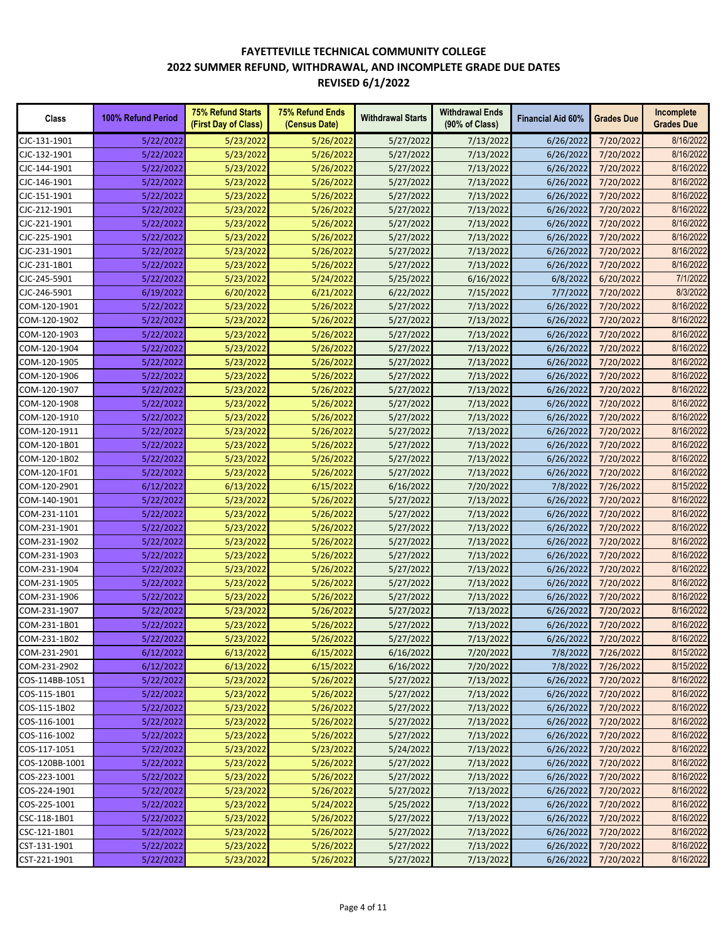| Class                        | 100% Refund Period | <b>75% Refund Starts</b><br>(First Day of Class) | <b>75% Refund Ends</b><br>(Census Date) | <b>Withdrawal Starts</b> | <b>Withdrawal Ends</b><br>(90% of Class) | <b>Financial Aid 60%</b> | <b>Grades Due</b>      | Incomplete<br><b>Grades Due</b> |
|------------------------------|--------------------|--------------------------------------------------|-----------------------------------------|--------------------------|------------------------------------------|--------------------------|------------------------|---------------------------------|
| CJC-131-1901                 | 5/22/2022          | 5/23/2022                                        | 5/26/2022                               | 5/27/2022                | 7/13/2022                                | 6/26/2022                | 7/20/2022              | 8/16/2022                       |
| CJC-132-1901                 | 5/22/2022          | 5/23/2022                                        | 5/26/2022                               | 5/27/2022                | 7/13/2022                                | 6/26/2022                | 7/20/2022              | 8/16/2022                       |
| CJC-144-1901                 | 5/22/2022          | 5/23/2022                                        | 5/26/2022                               | 5/27/2022                | 7/13/2022                                | 6/26/2022                | 7/20/2022              | 8/16/2022                       |
| CJC-146-1901                 | 5/22/2022          | 5/23/2022                                        | 5/26/2022                               | 5/27/2022                | 7/13/2022                                | 6/26/2022                | 7/20/2022              | 8/16/2022                       |
| CJC-151-1901                 | 5/22/2022          | 5/23/2022                                        | 5/26/2022                               | 5/27/2022                | 7/13/2022                                | 6/26/2022                | 7/20/2022              | 8/16/2022                       |
| CJC-212-1901                 | 5/22/2022          | 5/23/2022                                        | 5/26/2022                               | 5/27/2022                | 7/13/2022                                | 6/26/2022                | 7/20/2022              | 8/16/2022                       |
| CJC-221-1901                 | 5/22/2022          | 5/23/2022                                        | 5/26/2022                               | 5/27/2022                | 7/13/2022                                | 6/26/2022                | 7/20/2022              | 8/16/2022                       |
| CJC-225-1901                 | 5/22/2022          | 5/23/2022                                        | 5/26/2022                               | 5/27/2022                | 7/13/2022                                | 6/26/2022                | 7/20/2022              | 8/16/2022                       |
| CJC-231-1901                 | 5/22/2022          | 5/23/2022                                        | 5/26/2022                               | 5/27/2022                | 7/13/2022                                | 6/26/2022                | 7/20/2022              | 8/16/2022                       |
| CJC-231-1B01                 | 5/22/2022          | 5/23/2022                                        | 5/26/2022                               | 5/27/2022                | 7/13/2022                                | 6/26/2022                | 7/20/2022              | 8/16/2022                       |
| CJC-245-5901                 | 5/22/2022          | 5/23/2022                                        | 5/24/2022                               | 5/25/2022                | 6/16/2022                                | 6/8/2022                 | 6/20/2022              | 7/1/2022                        |
| CJC-246-5901                 | 6/19/2022          | 6/20/2022                                        | 6/21/2022                               | 6/22/2022                | 7/15/2022                                | 7/7/2022                 | 7/20/2022              | 8/3/2022                        |
| COM-120-1901                 | 5/22/2022          | 5/23/2022                                        | 5/26/2022                               | 5/27/2022                | 7/13/2022                                | 6/26/2022                | 7/20/2022              | 8/16/2022                       |
| COM-120-1902                 | 5/22/2022          | 5/23/2022                                        | 5/26/2022                               | 5/27/2022                | 7/13/2022                                | 6/26/2022                | 7/20/2022              | 8/16/2022                       |
| COM-120-1903                 | 5/22/2022          | 5/23/2022                                        | 5/26/2022                               | 5/27/2022                | 7/13/2022                                | 6/26/2022                | 7/20/2022              | 8/16/2022                       |
| COM-120-1904                 | 5/22/2022          | 5/23/2022                                        | 5/26/2022                               | 5/27/2022                | 7/13/2022                                | 6/26/2022                | 7/20/2022              | 8/16/2022                       |
| COM-120-1905                 | 5/22/2022          | 5/23/2022                                        | 5/26/2022                               | 5/27/2022                | 7/13/2022                                | 6/26/2022                | 7/20/2022              | 8/16/2022                       |
| COM-120-1906                 | 5/22/2022          | 5/23/2022                                        | 5/26/2022                               | 5/27/2022                | 7/13/2022                                | 6/26/2022                | 7/20/2022              | 8/16/2022                       |
| COM-120-1907                 | 5/22/2022          | 5/23/2022                                        | 5/26/2022                               | 5/27/2022                | 7/13/2022                                | 6/26/2022                | 7/20/2022              | 8/16/2022                       |
| COM-120-1908                 | 5/22/2022          | 5/23/2022                                        | 5/26/2022                               | 5/27/2022                | 7/13/2022                                | 6/26/2022                | 7/20/2022              | 8/16/2022                       |
|                              |                    |                                                  |                                         |                          |                                          |                          |                        | 8/16/2022                       |
| COM-120-1910<br>COM-120-1911 | 5/22/2022          | 5/23/2022                                        | 5/26/2022                               | 5/27/2022                | 7/13/2022                                | 6/26/2022                | 7/20/2022<br>7/20/2022 | 8/16/2022                       |
|                              | 5/22/2022          | 5/23/2022                                        | 5/26/2022                               | 5/27/2022                | 7/13/2022                                | 6/26/2022                |                        |                                 |
| COM-120-1B01                 | 5/22/2022          | 5/23/2022                                        | 5/26/2022                               | 5/27/2022                | 7/13/2022                                | 6/26/2022                | 7/20/2022              | 8/16/2022                       |
| COM-120-1B02                 | 5/22/2022          | 5/23/2022                                        | 5/26/2022                               | 5/27/2022                | 7/13/2022                                | 6/26/2022                | 7/20/2022              | 8/16/2022                       |
| COM-120-1F01                 | 5/22/2022          | 5/23/2022                                        | 5/26/2022                               | 5/27/2022                | 7/13/2022                                | 6/26/2022                | 7/20/2022              | 8/16/2022                       |
| COM-120-2901                 | 6/12/2022          | 6/13/2022                                        | 6/15/2022                               | 6/16/2022                | 7/20/2022                                | 7/8/2022                 | 7/26/2022              | 8/15/2022                       |
| COM-140-1901                 | 5/22/2022          | 5/23/2022                                        | 5/26/2022                               | 5/27/2022                | 7/13/2022                                | 6/26/2022                | 7/20/2022              | 8/16/2022                       |
| COM-231-1101                 | 5/22/2022          | 5/23/2022                                        | 5/26/2022                               | 5/27/2022                | 7/13/2022                                | 6/26/2022                | 7/20/2022              | 8/16/2022                       |
| COM-231-1901                 | 5/22/2022          | 5/23/2022                                        | 5/26/2022                               | 5/27/2022                | 7/13/2022                                | 6/26/2022                | 7/20/2022              | 8/16/2022                       |
| COM-231-1902                 | 5/22/2022          | 5/23/2022                                        | 5/26/2022                               | 5/27/2022                | 7/13/2022                                | 6/26/2022                | 7/20/2022              | 8/16/2022                       |
| COM-231-1903                 | 5/22/2022          | 5/23/2022                                        | 5/26/2022                               | 5/27/2022                | 7/13/2022                                | 6/26/2022                | 7/20/2022              | 8/16/2022                       |
| COM-231-1904                 | 5/22/2022          | 5/23/2022                                        | 5/26/2022                               | 5/27/2022                | 7/13/2022                                | 6/26/2022                | 7/20/2022              | 8/16/2022                       |
| COM-231-1905                 | 5/22/2022          | 5/23/2022                                        | 5/26/2022                               | 5/27/2022                | 7/13/2022                                | 6/26/2022                | 7/20/2022              | 8/16/2022                       |
| COM-231-1906                 | 5/22/2022          | 5/23/2022                                        | 5/26/2022                               | 5/27/2022                | 7/13/2022                                | 6/26/2022                | 7/20/2022              | 8/16/2022                       |
| COM-231-1907                 | 5/22/2022          | 5/23/2022                                        | 5/26/2022                               | 5/27/2022                | 7/13/2022                                | 6/26/2022                | 7/20/2022              | 8/16/2022                       |
| COM-231-1B01                 | 5/22/2022          | 5/23/2022                                        | 5/26/2022                               | 5/27/2022                | 7/13/2022                                | 6/26/2022                | 7/20/2022              | 8/16/2022                       |
| COM-231-1B02                 | 5/22/2022          | 5/23/2022                                        | 5/26/2022                               | 5/27/2022                | 7/13/2022                                | 6/26/2022                | 7/20/2022              | 8/16/2022                       |
| COM-231-2901                 | 6/12/2022          | 6/13/2022                                        | 6/15/2022                               | 6/16/2022                | 7/20/2022                                | 7/8/2022                 | 7/26/2022              | 8/15/2022                       |
| COM-231-2902                 | 6/12/2022          | 6/13/2022                                        | 6/15/2022                               | 6/16/2022                | 7/20/2022                                | 7/8/2022                 | 7/26/2022              | 8/15/2022                       |
| COS-114BB-1051               | 5/22/2022          | 5/23/2022                                        | 5/26/2022                               | 5/27/2022                | 7/13/2022                                | 6/26/2022                | 7/20/2022              | 8/16/2022                       |
| COS-115-1B01                 | 5/22/2022          | 5/23/2022                                        | 5/26/2022                               | 5/27/2022                | 7/13/2022                                | 6/26/2022                | 7/20/2022              | 8/16/2022                       |
| COS-115-1B02                 | 5/22/2022          | 5/23/2022                                        | 5/26/2022                               | 5/27/2022                | 7/13/2022                                | 6/26/2022                | 7/20/2022              | 8/16/2022                       |
| COS-116-1001                 | 5/22/2022          | 5/23/2022                                        | 5/26/2022                               | 5/27/2022                | 7/13/2022                                | 6/26/2022                | 7/20/2022              | 8/16/2022                       |
| COS-116-1002                 | 5/22/2022          | 5/23/2022                                        | 5/26/2022                               | 5/27/2022                | 7/13/2022                                | 6/26/2022                | 7/20/2022              | 8/16/2022                       |
| COS-117-1051                 | 5/22/2022          | 5/23/2022                                        | 5/23/2022                               | 5/24/2022                | 7/13/2022                                | 6/26/2022                | 7/20/2022              | 8/16/2022                       |
| COS-120BB-1001               | 5/22/2022          | 5/23/2022                                        | 5/26/2022                               | 5/27/2022                | 7/13/2022                                | 6/26/2022                | 7/20/2022              | 8/16/2022                       |
| COS-223-1001                 | 5/22/2022          | 5/23/2022                                        | 5/26/2022                               | 5/27/2022                | 7/13/2022                                | 6/26/2022                | 7/20/2022              | 8/16/2022                       |
| COS-224-1901                 | 5/22/2022          | 5/23/2022                                        | 5/26/2022                               | 5/27/2022                | 7/13/2022                                | 6/26/2022                | 7/20/2022              | 8/16/2022                       |
| COS-225-1001                 | 5/22/2022          | 5/23/2022                                        | 5/24/2022                               | 5/25/2022                | 7/13/2022                                | 6/26/2022                | 7/20/2022              | 8/16/2022                       |
| CSC-118-1B01                 | 5/22/2022          | 5/23/2022                                        | 5/26/2022                               | 5/27/2022                | 7/13/2022                                | 6/26/2022                | 7/20/2022              | 8/16/2022                       |
| CSC-121-1B01                 | 5/22/2022          | 5/23/2022                                        | 5/26/2022                               | 5/27/2022                | 7/13/2022                                | 6/26/2022                | 7/20/2022              | 8/16/2022                       |
| CST-131-1901                 | 5/22/2022          | 5/23/2022                                        | 5/26/2022                               | 5/27/2022                | 7/13/2022                                | 6/26/2022                | 7/20/2022              | 8/16/2022                       |
| CST-221-1901                 | 5/22/2022          | 5/23/2022                                        | 5/26/2022                               | 5/27/2022                | 7/13/2022                                | 6/26/2022                | 7/20/2022              | 8/16/2022                       |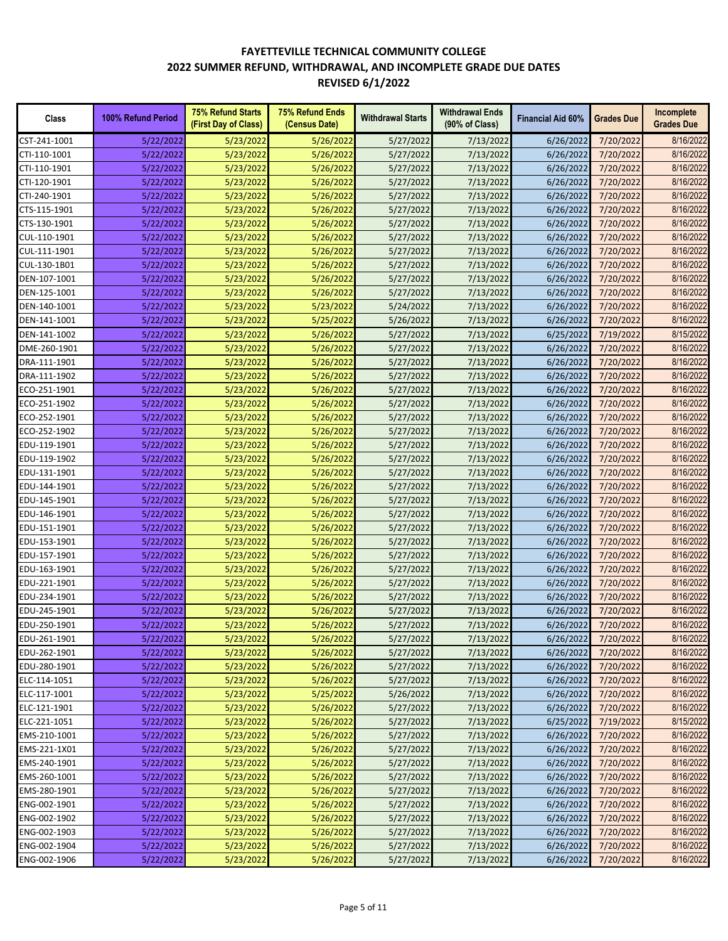| Class        | 100% Refund Period | <b>75% Refund Starts</b><br>(First Day of Class) | 75% Refund Ends<br>(Census Date) | <b>Withdrawal Starts</b> | <b>Withdrawal Ends</b><br>(90% of Class) | <b>Financial Aid 60%</b> | <b>Grades Due</b> | Incomplete<br><b>Grades Due</b> |
|--------------|--------------------|--------------------------------------------------|----------------------------------|--------------------------|------------------------------------------|--------------------------|-------------------|---------------------------------|
| CST-241-1001 | 5/22/2022          | 5/23/2022                                        | 5/26/2022                        | 5/27/2022                | 7/13/2022                                | 6/26/2022                | 7/20/2022         | 8/16/2022                       |
| CTI-110-1001 | 5/22/2022          | 5/23/2022                                        | 5/26/2022                        | 5/27/2022                | 7/13/2022                                | 6/26/2022                | 7/20/2022         | 8/16/2022                       |
| CTI-110-1901 | 5/22/2022          | 5/23/2022                                        | 5/26/2022                        | 5/27/2022                | 7/13/2022                                | 6/26/2022                | 7/20/2022         | 8/16/2022                       |
| CTI-120-1901 | 5/22/2022          | 5/23/2022                                        | 5/26/2022                        | 5/27/2022                | 7/13/2022                                | 6/26/2022                | 7/20/2022         | 8/16/2022                       |
| CTI-240-1901 | 5/22/2022          | 5/23/2022                                        | 5/26/2022                        | 5/27/2022                | 7/13/2022                                | 6/26/2022                | 7/20/2022         | 8/16/2022                       |
| CTS-115-1901 | 5/22/2022          | 5/23/2022                                        | 5/26/2022                        | 5/27/2022                | 7/13/2022                                | 6/26/2022                | 7/20/2022         | 8/16/2022                       |
| CTS-130-1901 | 5/22/2022          | 5/23/2022                                        | 5/26/2022                        | 5/27/2022                | 7/13/2022                                | 6/26/2022                | 7/20/2022         | 8/16/2022                       |
| CUL-110-1901 | 5/22/2022          | 5/23/2022                                        | 5/26/2022                        | 5/27/2022                | 7/13/2022                                | 6/26/2022                | 7/20/2022         | 8/16/2022                       |
| CUL-111-1901 | 5/22/2022          | 5/23/2022                                        | 5/26/2022                        | 5/27/2022                | 7/13/2022                                | 6/26/2022                | 7/20/2022         | 8/16/2022                       |
| CUL-130-1B01 | 5/22/2022          | 5/23/2022                                        | 5/26/2022                        | 5/27/2022                | 7/13/2022                                | 6/26/2022                | 7/20/2022         | 8/16/2022                       |
| DEN-107-1001 | 5/22/2022          | 5/23/2022                                        | 5/26/2022                        | 5/27/2022                | 7/13/2022                                | 6/26/2022                | 7/20/2022         | 8/16/2022                       |
| DEN-125-1001 | 5/22/2022          | 5/23/2022                                        | 5/26/2022                        | 5/27/2022                | 7/13/2022                                | 6/26/2022                | 7/20/2022         | 8/16/2022                       |
| DEN-140-1001 | 5/22/2022          | 5/23/2022                                        | 5/23/2022                        | 5/24/2022                | 7/13/2022                                | 6/26/2022                | 7/20/2022         | 8/16/2022                       |
| DEN-141-1001 | 5/22/2022          | 5/23/2022                                        | 5/25/2022                        | 5/26/2022                | 7/13/2022                                | 6/26/2022                | 7/20/2022         | 8/16/2022                       |
| DEN-141-1002 | 5/22/2022          | 5/23/2022                                        | 5/26/2022                        | 5/27/2022                | 7/13/2022                                | 6/25/2022                | 7/19/2022         | 8/15/2022                       |
| DME-260-1901 | 5/22/2022          | 5/23/2022                                        | 5/26/2022                        | 5/27/2022                | 7/13/2022                                | 6/26/2022                | 7/20/2022         | 8/16/2022                       |
| DRA-111-1901 | 5/22/2022          | 5/23/2022                                        | 5/26/2022                        | 5/27/2022                | 7/13/2022                                | 6/26/2022                | 7/20/2022         | 8/16/2022                       |
| DRA-111-1902 | 5/22/2022          | 5/23/2022                                        | 5/26/2022                        | 5/27/2022                | 7/13/2022                                | 6/26/2022                | 7/20/2022         | 8/16/2022                       |
| ECO-251-1901 | 5/22/2022          | 5/23/2022                                        | 5/26/2022                        | 5/27/2022                | 7/13/2022                                | 6/26/2022                | 7/20/2022         | 8/16/2022                       |
| ECO-251-1902 | 5/22/2022          | 5/23/2022                                        | 5/26/2022                        | 5/27/2022                | 7/13/2022                                | 6/26/2022                | 7/20/2022         | 8/16/2022                       |
| ECO-252-1901 | 5/22/2022          | 5/23/2022                                        | 5/26/2022                        | 5/27/2022                | 7/13/2022                                | 6/26/2022                | 7/20/2022         | 8/16/2022                       |
| ECO-252-1902 | 5/22/2022          | 5/23/2022                                        | 5/26/2022                        | 5/27/2022                | 7/13/2022                                | 6/26/2022                | 7/20/2022         | 8/16/2022                       |
| EDU-119-1901 | 5/22/2022          | 5/23/2022                                        | 5/26/2022                        | 5/27/2022                | 7/13/2022                                | 6/26/2022                | 7/20/2022         | 8/16/2022                       |
| EDU-119-1902 | 5/22/2022          | 5/23/2022                                        | 5/26/2022                        | 5/27/2022                | 7/13/2022                                | 6/26/2022                | 7/20/2022         | 8/16/2022                       |
| EDU-131-1901 | 5/22/2022          | 5/23/2022                                        | 5/26/2022                        | 5/27/2022                | 7/13/2022                                | 6/26/2022                | 7/20/2022         | 8/16/2022                       |
| EDU-144-1901 | 5/22/2022          | 5/23/2022                                        | 5/26/2022                        | 5/27/2022                | 7/13/2022                                | 6/26/2022                | 7/20/2022         | 8/16/2022                       |
| EDU-145-1901 | 5/22/2022          | 5/23/2022                                        | 5/26/2022                        | 5/27/2022                | 7/13/2022                                | 6/26/2022                | 7/20/2022         | 8/16/2022                       |
| EDU-146-1901 | 5/22/2022          | 5/23/2022                                        | 5/26/2022                        | 5/27/2022                | 7/13/2022                                | 6/26/2022                | 7/20/2022         | 8/16/2022                       |
| EDU-151-1901 | 5/22/2022          | 5/23/2022                                        | 5/26/2022                        | 5/27/2022                | 7/13/2022                                | 6/26/2022                | 7/20/2022         | 8/16/2022                       |
| EDU-153-1901 | 5/22/2022          | 5/23/2022                                        | 5/26/2022                        | 5/27/2022                | 7/13/2022                                | 6/26/2022                | 7/20/2022         | 8/16/2022                       |
| EDU-157-1901 | 5/22/2022          | 5/23/2022                                        | 5/26/2022                        | 5/27/2022                | 7/13/2022                                | 6/26/2022                | 7/20/2022         | 8/16/2022                       |
| EDU-163-1901 | 5/22/2022          | 5/23/2022                                        | 5/26/2022                        | 5/27/2022                | 7/13/2022                                | 6/26/2022                | 7/20/2022         | 8/16/2022                       |
| EDU-221-1901 | 5/22/2022          | 5/23/2022                                        | 5/26/2022                        | 5/27/2022                | 7/13/2022                                | 6/26/2022                | 7/20/2022         | 8/16/2022                       |
| EDU-234-1901 | 5/22/2022          | 5/23/2022                                        | 5/26/2022                        | 5/27/2022                | 7/13/2022                                | 6/26/2022                | 7/20/2022         | 8/16/2022                       |
| EDU-245-1901 | 5/22/2022          | 5/23/2022                                        | 5/26/2022                        | 5/27/2022                | 7/13/2022                                | 6/26/2022                | 7/20/2022         | 8/16/2022                       |
| EDU-250-1901 | 5/22/2022          | 5/23/2022                                        | 5/26/2022                        | 5/27/2022                | 7/13/2022                                | 6/26/2022                | 7/20/2022         | 8/16/2022                       |
| EDU-261-1901 | 5/22/2022          | 5/23/2022                                        | 5/26/2022                        | 5/27/2022                | 7/13/2022                                | 6/26/2022                | 7/20/2022         | 8/16/2022                       |
| EDU-262-1901 | 5/22/2022          | 5/23/2022                                        | 5/26/2022                        | 5/27/2022                | 7/13/2022                                | 6/26/2022                | 7/20/2022         | 8/16/2022                       |
| EDU-280-1901 | 5/22/2022          | 5/23/2022                                        | 5/26/2022                        | 5/27/2022                | 7/13/2022                                | 6/26/2022                | 7/20/2022         | 8/16/2022                       |
| ELC-114-1051 | 5/22/2022          | 5/23/2022                                        | 5/26/2022                        | 5/27/2022                | 7/13/2022                                | 6/26/2022                | 7/20/2022         | 8/16/2022                       |
| ELC-117-1001 | 5/22/2022          | 5/23/2022                                        | 5/25/2022                        | 5/26/2022                | 7/13/2022                                | 6/26/2022                | 7/20/2022         | 8/16/2022                       |
| ELC-121-1901 | 5/22/2022          | 5/23/2022                                        | 5/26/2022                        | 5/27/2022                | 7/13/2022                                | 6/26/2022                | 7/20/2022         | 8/16/2022                       |
| ELC-221-1051 | 5/22/2022          | 5/23/2022                                        | 5/26/2022                        | 5/27/2022                | 7/13/2022                                | 6/25/2022                | 7/19/2022         | 8/15/2022                       |
| EMS-210-1001 | 5/22/2022          | 5/23/2022                                        | 5/26/2022                        | 5/27/2022                | 7/13/2022                                | 6/26/2022                | 7/20/2022         | 8/16/2022                       |
| EMS-221-1X01 | 5/22/2022          | 5/23/2022                                        | 5/26/2022                        | 5/27/2022                | 7/13/2022                                | 6/26/2022                | 7/20/2022         | 8/16/2022                       |
| EMS-240-1901 | 5/22/2022          | 5/23/2022                                        | 5/26/2022                        | 5/27/2022                | 7/13/2022                                | 6/26/2022                | 7/20/2022         | 8/16/2022                       |
| EMS-260-1001 | 5/22/2022          | 5/23/2022                                        | 5/26/2022                        | 5/27/2022                | 7/13/2022                                | 6/26/2022                | 7/20/2022         | 8/16/2022                       |
| EMS-280-1901 | 5/22/2022          | 5/23/2022                                        | 5/26/2022                        | 5/27/2022                | 7/13/2022                                | 6/26/2022                | 7/20/2022         | 8/16/2022                       |
| ENG-002-1901 | 5/22/2022          | 5/23/2022                                        | 5/26/2022                        | 5/27/2022                | 7/13/2022                                | 6/26/2022                | 7/20/2022         | 8/16/2022                       |
| ENG-002-1902 | 5/22/2022          | 5/23/2022                                        | 5/26/2022                        | 5/27/2022                | 7/13/2022                                | 6/26/2022                | 7/20/2022         | 8/16/2022                       |
| ENG-002-1903 | 5/22/2022          | 5/23/2022                                        | 5/26/2022                        | 5/27/2022                | 7/13/2022                                | 6/26/2022                | 7/20/2022         | 8/16/2022                       |
| ENG-002-1904 | 5/22/2022          | 5/23/2022                                        | 5/26/2022                        | 5/27/2022                | 7/13/2022                                | 6/26/2022                | 7/20/2022         | 8/16/2022                       |
| ENG-002-1906 | 5/22/2022          | 5/23/2022                                        | 5/26/2022                        | 5/27/2022                | 7/13/2022                                | 6/26/2022                | 7/20/2022         | 8/16/2022                       |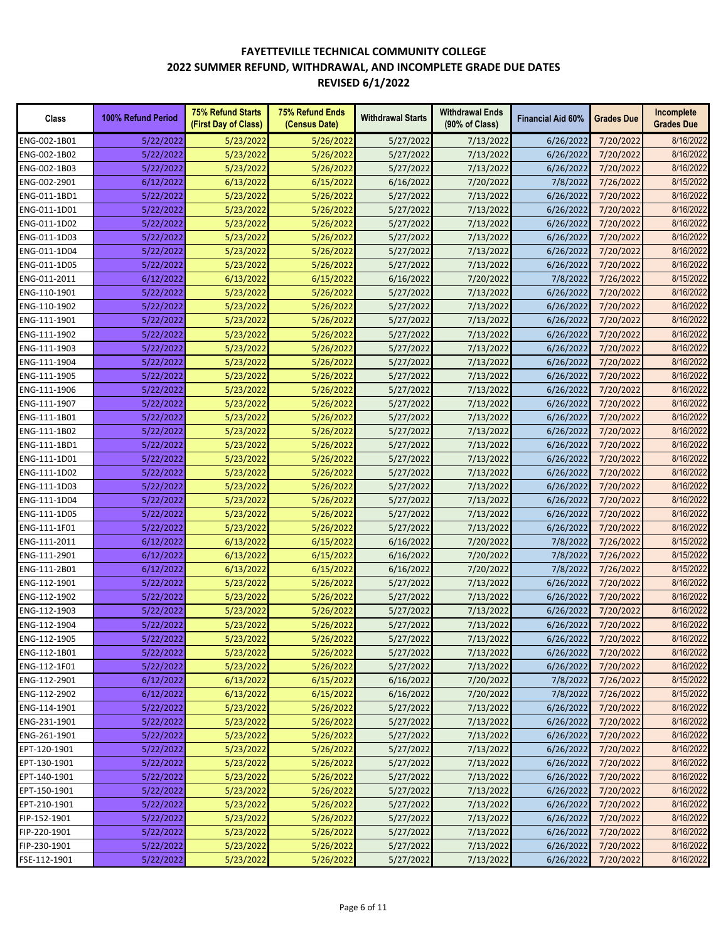| Class        | 100% Refund Period | <b>75% Refund Starts</b><br>(First Day of Class) | <b>75% Refund Ends</b><br>(Census Date) | <b>Withdrawal Starts</b> | <b>Withdrawal Ends</b><br>(90% of Class) | <b>Financial Aid 60%</b> | <b>Grades Due</b> | Incomplete<br><b>Grades Due</b> |
|--------------|--------------------|--------------------------------------------------|-----------------------------------------|--------------------------|------------------------------------------|--------------------------|-------------------|---------------------------------|
| ENG-002-1B01 | 5/22/2022          | 5/23/2022                                        | 5/26/2022                               | 5/27/2022                | 7/13/2022                                | 6/26/2022                | 7/20/2022         | 8/16/2022                       |
| ENG-002-1B02 | 5/22/2022          | 5/23/2022                                        | 5/26/2022                               | 5/27/2022                | 7/13/2022                                | 6/26/2022                | 7/20/2022         | 8/16/2022                       |
| ENG-002-1B03 | 5/22/2022          | 5/23/2022                                        | 5/26/2022                               | 5/27/2022                | 7/13/2022                                | 6/26/2022                | 7/20/2022         | 8/16/2022                       |
| ENG-002-2901 | 6/12/2022          | 6/13/2022                                        | 6/15/2022                               | 6/16/2022                | 7/20/2022                                | 7/8/2022                 | 7/26/2022         | 8/15/2022                       |
| ENG-011-1BD1 | 5/22/2022          | 5/23/2022                                        | 5/26/2022                               | 5/27/2022                | 7/13/2022                                | 6/26/2022                | 7/20/2022         | 8/16/2022                       |
| ENG-011-1D01 | 5/22/2022          | 5/23/2022                                        | 5/26/2022                               | 5/27/2022                | 7/13/2022                                | 6/26/2022                | 7/20/2022         | 8/16/2022                       |
| ENG-011-1D02 | 5/22/2022          | 5/23/2022                                        | 5/26/2022                               | 5/27/2022                | 7/13/2022                                | 6/26/2022                | 7/20/2022         | 8/16/2022                       |
| ENG-011-1D03 | 5/22/2022          | 5/23/2022                                        | 5/26/2022                               | 5/27/2022                | 7/13/2022                                | 6/26/2022                | 7/20/2022         | 8/16/2022                       |
| ENG-011-1D04 | 5/22/2022          | 5/23/2022                                        | 5/26/2022                               | 5/27/2022                | 7/13/2022                                | 6/26/2022                | 7/20/2022         | 8/16/2022                       |
| ENG-011-1D05 | 5/22/2022          | 5/23/2022                                        | 5/26/2022                               | 5/27/2022                | 7/13/2022                                | 6/26/2022                | 7/20/2022         | 8/16/2022                       |
| ENG-011-2011 | 6/12/2022          | 6/13/2022                                        | 6/15/2022                               | 6/16/2022                | 7/20/2022                                | 7/8/2022                 | 7/26/2022         | 8/15/2022                       |
| ENG-110-1901 | 5/22/2022          | 5/23/2022                                        | 5/26/2022                               | 5/27/2022                | 7/13/2022                                | 6/26/2022                | 7/20/2022         | 8/16/2022                       |
| ENG-110-1902 | 5/22/2022          | 5/23/2022                                        | 5/26/2022                               | 5/27/2022                | 7/13/2022                                | 6/26/2022                | 7/20/2022         | 8/16/2022                       |
| ENG-111-1901 | 5/22/2022          | 5/23/2022                                        | 5/26/2022                               | 5/27/2022                | 7/13/2022                                | 6/26/2022                | 7/20/2022         | 8/16/2022                       |
| ENG-111-1902 | 5/22/2022          | 5/23/2022                                        | 5/26/2022                               | 5/27/2022                | 7/13/2022                                | 6/26/2022                | 7/20/2022         | 8/16/2022                       |
| ENG-111-1903 | 5/22/2022          | 5/23/2022                                        | 5/26/2022                               | 5/27/2022                | 7/13/2022                                | 6/26/2022                | 7/20/2022         | 8/16/2022                       |
| ENG-111-1904 | 5/22/2022          | 5/23/2022                                        | 5/26/2022                               | 5/27/2022                | 7/13/2022                                | 6/26/2022                | 7/20/2022         | 8/16/2022                       |
| ENG-111-1905 | 5/22/2022          | 5/23/2022                                        | 5/26/2022                               | 5/27/2022                | 7/13/2022                                | 6/26/2022                | 7/20/2022         | 8/16/2022                       |
| ENG-111-1906 | 5/22/2022          | 5/23/2022                                        | 5/26/2022                               | 5/27/2022                | 7/13/2022                                | 6/26/2022                | 7/20/2022         | 8/16/2022                       |
| ENG-111-1907 | 5/22/2022          | 5/23/2022                                        | 5/26/2022                               | 5/27/2022                | 7/13/2022                                | 6/26/2022                | 7/20/2022         | 8/16/2022                       |
| ENG-111-1B01 | 5/22/2022          | 5/23/2022                                        | 5/26/2022                               | 5/27/2022                | 7/13/2022                                | 6/26/2022                | 7/20/2022         | 8/16/2022                       |
| ENG-111-1B02 | 5/22/2022          | 5/23/2022                                        | 5/26/2022                               | 5/27/2022                | 7/13/2022                                | 6/26/2022                | 7/20/2022         | 8/16/2022                       |
| ENG-111-1BD1 | 5/22/2022          | 5/23/2022                                        | 5/26/2022                               | 5/27/2022                | 7/13/2022                                | 6/26/2022                | 7/20/2022         | 8/16/2022                       |
| ENG-111-1D01 | 5/22/2022          | 5/23/2022                                        | 5/26/2022                               | 5/27/2022                | 7/13/2022                                | 6/26/2022                | 7/20/2022         | 8/16/2022                       |
| ENG-111-1D02 | 5/22/2022          | 5/23/2022                                        | 5/26/2022                               | 5/27/2022                | 7/13/2022                                | 6/26/2022                | 7/20/2022         | 8/16/2022                       |
| ENG-111-1D03 | 5/22/2022          | 5/23/2022                                        | 5/26/2022                               | 5/27/2022                | 7/13/2022                                | 6/26/2022                | 7/20/2022         | 8/16/2022                       |
| ENG-111-1D04 | 5/22/2022          | 5/23/2022                                        | 5/26/2022                               | 5/27/2022                | 7/13/2022                                | 6/26/2022                | 7/20/2022         | 8/16/2022                       |
| ENG-111-1D05 | 5/22/2022          | 5/23/2022                                        | 5/26/2022                               | 5/27/2022                | 7/13/2022                                | 6/26/2022                | 7/20/2022         | 8/16/2022                       |
| ENG-111-1F01 | 5/22/2022          | 5/23/2022                                        | 5/26/2022                               | 5/27/2022                | 7/13/2022                                | 6/26/2022                | 7/20/2022         | 8/16/2022                       |
| ENG-111-2011 | 6/12/2022          | 6/13/2022                                        | 6/15/2022                               | 6/16/2022                | 7/20/2022                                | 7/8/2022                 | 7/26/2022         | 8/15/2022                       |
| ENG-111-2901 | 6/12/2022          | 6/13/2022                                        | 6/15/2022                               | 6/16/2022                | 7/20/2022                                | 7/8/2022                 | 7/26/2022         | 8/15/2022                       |
| ENG-111-2B01 | 6/12/2022          | 6/13/2022                                        | 6/15/2022                               | 6/16/2022                | 7/20/2022                                | 7/8/2022                 | 7/26/2022         | 8/15/2022                       |
| ENG-112-1901 | 5/22/2022          | 5/23/2022                                        | 5/26/2022                               | 5/27/2022                | 7/13/2022                                | 6/26/2022                | 7/20/2022         | 8/16/2022                       |
| ENG-112-1902 | 5/22/2022          | 5/23/2022                                        | 5/26/2022                               | 5/27/2022                | 7/13/2022                                | 6/26/2022                | 7/20/2022         | 8/16/2022                       |
| ENG-112-1903 | 5/22/2022          | 5/23/2022                                        | 5/26/2022                               | 5/27/2022                | 7/13/2022                                | 6/26/2022                | 7/20/2022         | 8/16/2022                       |
| ENG-112-1904 | 5/22/2022          | 5/23/2022                                        | 5/26/2022                               | 5/27/2022                | 7/13/2022                                | 6/26/2022                | 7/20/2022         | 8/16/2022                       |
| ENG-112-1905 | 5/22/2022          | 5/23/2022                                        | 5/26/2022                               | 5/27/2022                | 7/13/2022                                | 6/26/2022                | 7/20/2022         | 8/16/2022                       |
| ENG-112-1B01 | 5/22/2022          | 5/23/2022                                        | 5/26/2022                               | 5/27/2022                | 7/13/2022                                | 6/26/2022                | 7/20/2022         | 8/16/2022                       |
| ENG-112-1F01 | 5/22/2022          | 5/23/2022                                        | 5/26/2022                               | 5/27/2022                | 7/13/2022                                | 6/26/2022                | 7/20/2022         | 8/16/2022                       |
| ENG-112-2901 | 6/12/2022          | 6/13/2022                                        | 6/15/2022                               | 6/16/2022                | 7/20/2022                                | 7/8/2022                 | 7/26/2022         | 8/15/2022                       |
| ENG-112-2902 | 6/12/2022          | 6/13/2022                                        | 6/15/2022                               | 6/16/2022                | 7/20/2022                                | 7/8/2022                 | 7/26/2022         | 8/15/2022                       |
| ENG-114-1901 | 5/22/2022          | 5/23/2022                                        | 5/26/2022                               | 5/27/2022                | 7/13/2022                                | 6/26/2022                | 7/20/2022         | 8/16/2022                       |
| ENG-231-1901 | 5/22/2022          | 5/23/2022                                        | 5/26/2022                               | 5/27/2022                | 7/13/2022                                | 6/26/2022                | 7/20/2022         | 8/16/2022                       |
| ENG-261-1901 | 5/22/2022          | 5/23/2022                                        | 5/26/2022                               | 5/27/2022                | 7/13/2022                                | 6/26/2022                | 7/20/2022         | 8/16/2022                       |
| EPT-120-1901 | 5/22/2022          | 5/23/2022                                        | 5/26/2022                               | 5/27/2022                | 7/13/2022                                | 6/26/2022                | 7/20/2022         | 8/16/2022                       |
| EPT-130-1901 | 5/22/2022          | 5/23/2022                                        | 5/26/2022                               | 5/27/2022                | 7/13/2022                                | 6/26/2022                | 7/20/2022         | 8/16/2022                       |
| EPT-140-1901 | 5/22/2022          | 5/23/2022                                        | 5/26/2022                               | 5/27/2022                | 7/13/2022                                | 6/26/2022                | 7/20/2022         | 8/16/2022                       |
| EPT-150-1901 | 5/22/2022          | 5/23/2022                                        | 5/26/2022                               | 5/27/2022                | 7/13/2022                                | 6/26/2022                | 7/20/2022         | 8/16/2022                       |
| EPT-210-1901 | 5/22/2022          | 5/23/2022                                        | 5/26/2022                               | 5/27/2022                | 7/13/2022                                | 6/26/2022                | 7/20/2022         | 8/16/2022                       |
| FIP-152-1901 | 5/22/2022          | 5/23/2022                                        | 5/26/2022                               | 5/27/2022                | 7/13/2022                                | 6/26/2022                | 7/20/2022         | 8/16/2022                       |
| FIP-220-1901 | 5/22/2022          | 5/23/2022                                        | 5/26/2022                               | 5/27/2022                | 7/13/2022                                | 6/26/2022                | 7/20/2022         | 8/16/2022                       |
| FIP-230-1901 | 5/22/2022          | 5/23/2022                                        | 5/26/2022                               | 5/27/2022                | 7/13/2022                                | 6/26/2022                | 7/20/2022         | 8/16/2022                       |
| FSE-112-1901 | 5/22/2022          | 5/23/2022                                        | 5/26/2022                               | 5/27/2022                | 7/13/2022                                | 6/26/2022                | 7/20/2022         | 8/16/2022                       |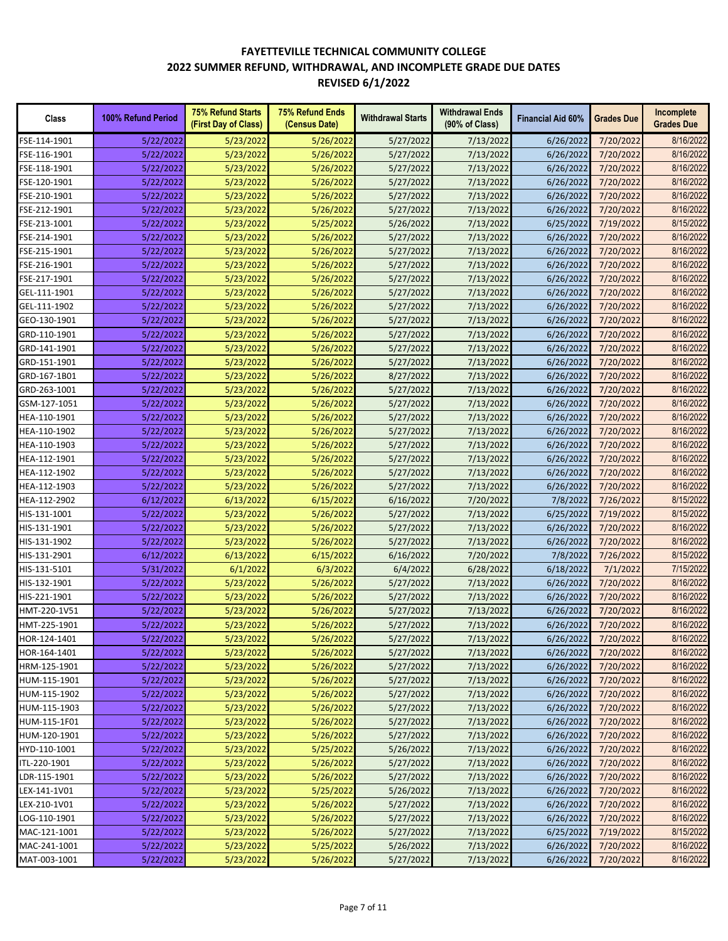| Class        | 100% Refund Period | <b>75% Refund Starts</b><br>(First Day of Class) | 75% Refund Ends<br>(Census Date) | <b>Withdrawal Starts</b> | <b>Withdrawal Ends</b><br>(90% of Class) | <b>Financial Aid 60%</b> | <b>Grades Due</b> | Incomplete<br><b>Grades Due</b> |
|--------------|--------------------|--------------------------------------------------|----------------------------------|--------------------------|------------------------------------------|--------------------------|-------------------|---------------------------------|
| FSE-114-1901 | 5/22/2022          | 5/23/2022                                        | 5/26/2022                        | 5/27/2022                | 7/13/2022                                | 6/26/2022                | 7/20/2022         | 8/16/2022                       |
| FSE-116-1901 | 5/22/2022          | 5/23/2022                                        | 5/26/2022                        | 5/27/2022                | 7/13/2022                                | 6/26/2022                | 7/20/2022         | 8/16/2022                       |
| FSE-118-1901 | 5/22/2022          | 5/23/2022                                        | 5/26/2022                        | 5/27/2022                | 7/13/2022                                | 6/26/2022                | 7/20/2022         | 8/16/2022                       |
| FSE-120-1901 | 5/22/2022          | 5/23/2022                                        | 5/26/2022                        | 5/27/2022                | 7/13/2022                                | 6/26/2022                | 7/20/2022         | 8/16/2022                       |
| FSE-210-1901 | 5/22/2022          | 5/23/2022                                        | 5/26/2022                        | 5/27/2022                | 7/13/2022                                | 6/26/2022                | 7/20/2022         | 8/16/2022                       |
| FSE-212-1901 | 5/22/2022          | 5/23/2022                                        | 5/26/2022                        | 5/27/2022                | 7/13/2022                                | 6/26/2022                | 7/20/2022         | 8/16/2022                       |
| FSE-213-1001 | 5/22/2022          | 5/23/2022                                        | 5/25/2022                        | 5/26/2022                | 7/13/2022                                | 6/25/2022                | 7/19/2022         | 8/15/2022                       |
| FSE-214-1901 | 5/22/2022          | 5/23/2022                                        | 5/26/2022                        | 5/27/2022                | 7/13/2022                                | 6/26/2022                | 7/20/2022         | 8/16/2022                       |
| FSE-215-1901 | 5/22/2022          | 5/23/2022                                        | 5/26/2022                        | 5/27/2022                | 7/13/2022                                | 6/26/2022                | 7/20/2022         | 8/16/2022                       |
| FSE-216-1901 | 5/22/2022          | 5/23/2022                                        | 5/26/2022                        | 5/27/2022                | 7/13/2022                                | 6/26/2022                | 7/20/2022         | 8/16/2022                       |
| FSE-217-1901 | 5/22/2022          | 5/23/2022                                        | 5/26/2022                        | 5/27/2022                | 7/13/2022                                | 6/26/2022                | 7/20/2022         | 8/16/2022                       |
| GEL-111-1901 | 5/22/2022          | 5/23/2022                                        | 5/26/2022                        | 5/27/2022                | 7/13/2022                                | 6/26/2022                | 7/20/2022         | 8/16/2022                       |
| GEL-111-1902 | 5/22/2022          | 5/23/2022                                        | 5/26/2022                        | 5/27/2022                | 7/13/2022                                | 6/26/2022                | 7/20/2022         | 8/16/2022                       |
| GEO-130-1901 | 5/22/2022          | 5/23/2022                                        | 5/26/2022                        | 5/27/2022                | 7/13/2022                                | 6/26/2022                | 7/20/2022         | 8/16/2022                       |
| GRD-110-1901 | 5/22/2022          | 5/23/2022                                        | 5/26/2022                        | 5/27/2022                | 7/13/2022                                | 6/26/2022                | 7/20/2022         | 8/16/2022                       |
| GRD-141-1901 | 5/22/2022          | 5/23/2022                                        | 5/26/2022                        | 5/27/2022                | 7/13/2022                                | 6/26/2022                | 7/20/2022         | 8/16/2022                       |
| GRD-151-1901 | 5/22/2022          | 5/23/2022                                        | 5/26/2022                        | 5/27/2022                | 7/13/2022                                | 6/26/2022                | 7/20/2022         | 8/16/2022                       |
| GRD-167-1B01 | 5/22/2022          | 5/23/2022                                        | 5/26/2022                        | 8/27/2022                | 7/13/2022                                | 6/26/2022                | 7/20/2022         | 8/16/2022                       |
| GRD-263-1001 | 5/22/2022          | 5/23/2022                                        | 5/26/2022                        | 5/27/2022                | 7/13/2022                                | 6/26/2022                | 7/20/2022         | 8/16/2022                       |
| GSM-127-1051 | 5/22/2022          | 5/23/2022                                        | 5/26/2022                        | 5/27/2022                | 7/13/2022                                | 6/26/2022                | 7/20/2022         | 8/16/2022                       |
|              |                    |                                                  |                                  |                          |                                          |                          |                   | 8/16/2022                       |
| HEA-110-1901 | 5/22/2022          | 5/23/2022                                        | 5/26/2022                        | 5/27/2022                | 7/13/2022                                | 6/26/2022                | 7/20/2022         | 8/16/2022                       |
| HEA-110-1902 | 5/22/2022          | 5/23/2022                                        | 5/26/2022                        | 5/27/2022                | 7/13/2022                                | 6/26/2022                | 7/20/2022         |                                 |
| HEA-110-1903 | 5/22/2022          | 5/23/2022                                        | 5/26/2022                        | 5/27/2022                | 7/13/2022                                | 6/26/2022                | 7/20/2022         | 8/16/2022                       |
| HEA-112-1901 | 5/22/2022          | 5/23/2022                                        | 5/26/2022                        | 5/27/2022                | 7/13/2022                                | 6/26/2022                | 7/20/2022         | 8/16/2022                       |
| HEA-112-1902 | 5/22/2022          | 5/23/2022                                        | 5/26/2022                        | 5/27/2022                | 7/13/2022                                | 6/26/2022                | 7/20/2022         | 8/16/2022                       |
| HEA-112-1903 | 5/22/2022          | 5/23/2022                                        | 5/26/2022                        | 5/27/2022                | 7/13/2022                                | 6/26/2022                | 7/20/2022         | 8/16/2022                       |
| HEA-112-2902 | 6/12/2022          | 6/13/2022                                        | 6/15/2022                        | 6/16/2022                | 7/20/2022                                | 7/8/2022                 | 7/26/2022         | 8/15/2022                       |
| HIS-131-1001 | 5/22/2022          | 5/23/2022                                        | 5/26/2022                        | 5/27/2022                | 7/13/2022                                | 6/25/2022                | 7/19/2022         | 8/15/2022                       |
| HIS-131-1901 | 5/22/2022          | 5/23/2022                                        | 5/26/2022                        | 5/27/2022                | 7/13/2022                                | 6/26/2022                | 7/20/2022         | 8/16/2022                       |
| HIS-131-1902 | 5/22/2022          | 5/23/2022                                        | 5/26/2022                        | 5/27/2022                | 7/13/2022                                | 6/26/2022                | 7/20/2022         | 8/16/2022                       |
| HIS-131-2901 | 6/12/2022          | 6/13/2022                                        | 6/15/2022                        | 6/16/2022                | 7/20/2022                                | 7/8/2022                 | 7/26/2022         | 8/15/2022                       |
| HIS-131-5101 | 5/31/2022          | 6/1/2022                                         | 6/3/2022                         | 6/4/2022                 | 6/28/2022                                | 6/18/2022                | 7/1/2022          | 7/15/2022                       |
| HIS-132-1901 | 5/22/2022          | 5/23/2022                                        | 5/26/2022                        | 5/27/2022                | 7/13/2022                                | 6/26/2022                | 7/20/2022         | 8/16/2022                       |
| HIS-221-1901 | 5/22/2022          | 5/23/2022                                        | 5/26/2022                        | 5/27/2022                | 7/13/2022                                | 6/26/2022                | 7/20/2022         | 8/16/2022                       |
| HMT-220-1V51 | 5/22/2022          | 5/23/2022                                        | 5/26/2022                        | 5/27/2022                | 7/13/2022                                | 6/26/2022                | 7/20/2022         | 8/16/2022                       |
| HMT-225-1901 | 5/22/2022          | 5/23/2022                                        | 5/26/2022                        | 5/27/2022                | 7/13/2022                                | 6/26/2022                | 7/20/2022         | 8/16/2022                       |
| HOR-124-1401 | 5/22/2022          | 5/23/2022                                        | 5/26/2022                        | 5/27/2022                | 7/13/2022                                | 6/26/2022                | 7/20/2022         | 8/16/2022                       |
| HOR-164-1401 | 5/22/2022          | 5/23/2022                                        | 5/26/2022                        | 5/27/2022                | 7/13/2022                                | 6/26/2022                | 7/20/2022         | 8/16/2022                       |
| HRM-125-1901 | 5/22/2022          | 5/23/2022                                        | 5/26/2022                        | 5/27/2022                | 7/13/2022                                | 6/26/2022                | 7/20/2022         | 8/16/2022                       |
| HUM-115-1901 | 5/22/2022          | 5/23/2022                                        | 5/26/2022                        | 5/27/2022                | 7/13/2022                                | 6/26/2022                | 7/20/2022         | 8/16/2022                       |
| HUM-115-1902 | 5/22/2022          | 5/23/2022                                        | 5/26/2022                        | 5/27/2022                | 7/13/2022                                | 6/26/2022                | 7/20/2022         | 8/16/2022                       |
| HUM-115-1903 | 5/22/2022          | 5/23/2022                                        | 5/26/2022                        | 5/27/2022                | 7/13/2022                                | 6/26/2022                | 7/20/2022         | 8/16/2022                       |
| HUM-115-1F01 | 5/22/2022          | 5/23/2022                                        | 5/26/2022                        | 5/27/2022                | 7/13/2022                                | 6/26/2022                | 7/20/2022         | 8/16/2022                       |
| HUM-120-1901 | 5/22/2022          | 5/23/2022                                        | 5/26/2022                        | 5/27/2022                | 7/13/2022                                | 6/26/2022                | 7/20/2022         | 8/16/2022                       |
| HYD-110-1001 | 5/22/2022          | 5/23/2022                                        | 5/25/2022                        | 5/26/2022                | 7/13/2022                                | 6/26/2022                | 7/20/2022         | 8/16/2022                       |
| ITL-220-1901 | 5/22/2022          | 5/23/2022                                        | 5/26/2022                        | 5/27/2022                | 7/13/2022                                | 6/26/2022                | 7/20/2022         | 8/16/2022                       |
| LDR-115-1901 | 5/22/2022          | 5/23/2022                                        | 5/26/2022                        | 5/27/2022                | 7/13/2022                                | 6/26/2022                | 7/20/2022         | 8/16/2022                       |
| LEX-141-1V01 | 5/22/2022          | 5/23/2022                                        | 5/25/2022                        | 5/26/2022                | 7/13/2022                                | 6/26/2022                | 7/20/2022         | 8/16/2022                       |
| LEX-210-1V01 | 5/22/2022          | 5/23/2022                                        | 5/26/2022                        | 5/27/2022                | 7/13/2022                                | 6/26/2022                | 7/20/2022         | 8/16/2022                       |
| LOG-110-1901 | 5/22/2022          | 5/23/2022                                        | 5/26/2022                        | 5/27/2022                | 7/13/2022                                | 6/26/2022                | 7/20/2022         | 8/16/2022                       |
| MAC-121-1001 | 5/22/2022          | 5/23/2022                                        | 5/26/2022                        | 5/27/2022                | 7/13/2022                                | 6/25/2022                | 7/19/2022         | 8/15/2022                       |
| MAC-241-1001 | 5/22/2022          | 5/23/2022                                        | 5/25/2022                        | 5/26/2022                | 7/13/2022                                | 6/26/2022                | 7/20/2022         | 8/16/2022                       |
| MAT-003-1001 | 5/22/2022          | 5/23/2022                                        | 5/26/2022                        | 5/27/2022                | 7/13/2022                                | 6/26/2022                | 7/20/2022         | 8/16/2022                       |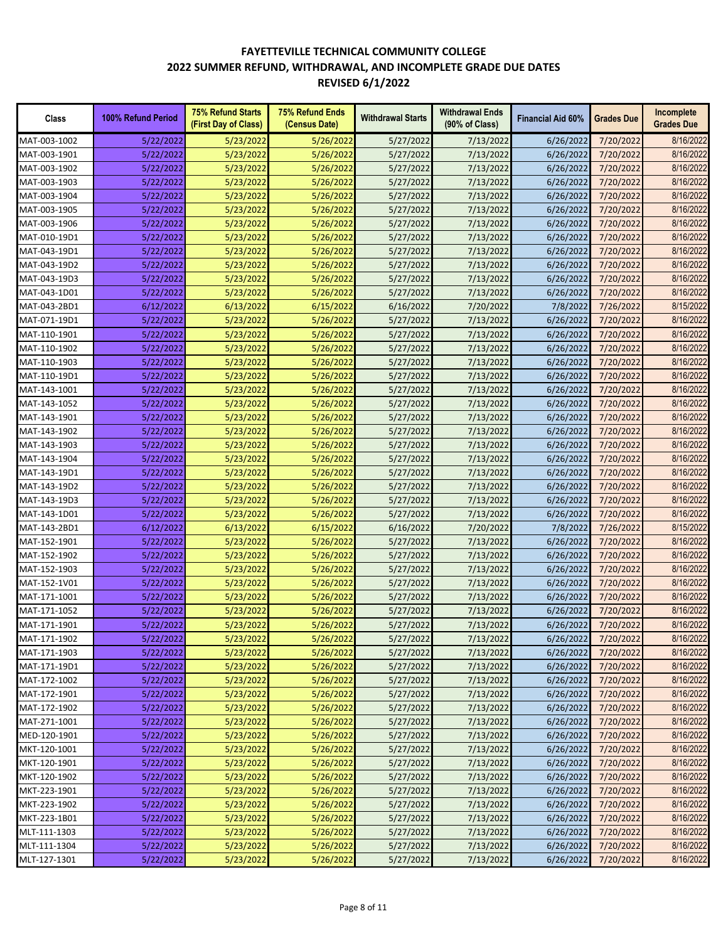| Class        | 100% Refund Period | <b>75% Refund Starts</b><br>(First Day of Class) | <b>75% Refund Ends</b><br>(Census Date) | <b>Withdrawal Starts</b> | <b>Withdrawal Ends</b><br>(90% of Class) | <b>Financial Aid 60%</b> | <b>Grades Due</b> | Incomplete<br><b>Grades Due</b> |
|--------------|--------------------|--------------------------------------------------|-----------------------------------------|--------------------------|------------------------------------------|--------------------------|-------------------|---------------------------------|
| MAT-003-1002 | 5/22/2022          | 5/23/2022                                        | 5/26/2022                               | 5/27/2022                | 7/13/2022                                | 6/26/2022                | 7/20/2022         | 8/16/2022                       |
| MAT-003-1901 | 5/22/2022          | 5/23/2022                                        | 5/26/2022                               | 5/27/2022                | 7/13/2022                                | 6/26/2022                | 7/20/2022         | 8/16/2022                       |
| MAT-003-1902 | 5/22/2022          | 5/23/2022                                        | 5/26/2022                               | 5/27/2022                | 7/13/2022                                | 6/26/2022                | 7/20/2022         | 8/16/2022                       |
| MAT-003-1903 | 5/22/2022          | 5/23/2022                                        | 5/26/2022                               | 5/27/2022                | 7/13/2022                                | 6/26/2022                | 7/20/2022         | 8/16/2022                       |
| MAT-003-1904 | 5/22/2022          | 5/23/2022                                        | 5/26/2022                               | 5/27/2022                | 7/13/2022                                | 6/26/2022                | 7/20/2022         | 8/16/2022                       |
| MAT-003-1905 | 5/22/2022          | 5/23/2022                                        | 5/26/2022                               | 5/27/2022                | 7/13/2022                                | 6/26/2022                | 7/20/2022         | 8/16/2022                       |
| MAT-003-1906 | 5/22/2022          | 5/23/2022                                        | 5/26/2022                               | 5/27/2022                | 7/13/2022                                | 6/26/2022                | 7/20/2022         | 8/16/2022                       |
| MAT-010-19D1 | 5/22/2022          | 5/23/2022                                        | 5/26/2022                               | 5/27/2022                | 7/13/2022                                | 6/26/2022                | 7/20/2022         | 8/16/2022                       |
| MAT-043-19D1 | 5/22/2022          | 5/23/2022                                        | 5/26/2022                               | 5/27/2022                | 7/13/2022                                | 6/26/2022                | 7/20/2022         | 8/16/2022                       |
| MAT-043-19D2 | 5/22/2022          | 5/23/2022                                        | 5/26/2022                               | 5/27/2022                | 7/13/2022                                | 6/26/2022                | 7/20/2022         | 8/16/2022                       |
| MAT-043-19D3 | 5/22/2022          | 5/23/2022                                        | 5/26/2022                               | 5/27/2022                | 7/13/2022                                | 6/26/2022                | 7/20/2022         | 8/16/2022                       |
| MAT-043-1D01 | 5/22/2022          | 5/23/2022                                        | 5/26/2022                               | 5/27/2022                | 7/13/2022                                | 6/26/2022                | 7/20/2022         | 8/16/2022                       |
| MAT-043-2BD1 | 6/12/2022          | 6/13/2022                                        | 6/15/2022                               | 6/16/2022                | 7/20/2022                                | 7/8/2022                 | 7/26/2022         | 8/15/2022                       |
| MAT-071-19D1 | 5/22/2022          | 5/23/2022                                        | 5/26/2022                               | 5/27/2022                | 7/13/2022                                | 6/26/2022                | 7/20/2022         | 8/16/2022                       |
| MAT-110-1901 | 5/22/2022          | 5/23/2022                                        | 5/26/2022                               | 5/27/2022                | 7/13/2022                                | 6/26/2022                | 7/20/2022         | 8/16/2022                       |
| MAT-110-1902 | 5/22/2022          | 5/23/2022                                        | 5/26/2022                               | 5/27/2022                | 7/13/2022                                | 6/26/2022                | 7/20/2022         | 8/16/2022                       |
| MAT-110-1903 | 5/22/2022          | 5/23/2022                                        | 5/26/2022                               | 5/27/2022                | 7/13/2022                                | 6/26/2022                | 7/20/2022         | 8/16/2022                       |
| MAT-110-19D1 | 5/22/2022          | 5/23/2022                                        | 5/26/2022                               | 5/27/2022                | 7/13/2022                                | 6/26/2022                | 7/20/2022         | 8/16/2022                       |
| MAT-143-1001 | 5/22/2022          | 5/23/2022                                        | 5/26/2022                               | 5/27/2022                | 7/13/2022                                | 6/26/2022                | 7/20/2022         | 8/16/2022                       |
| MAT-143-1052 | 5/22/2022          | 5/23/2022                                        | 5/26/2022                               | 5/27/2022                | 7/13/2022                                | 6/26/2022                | 7/20/2022         | 8/16/2022                       |
| MAT-143-1901 | 5/22/2022          | 5/23/2022                                        | 5/26/2022                               | 5/27/2022                | 7/13/2022                                | 6/26/2022                | 7/20/2022         | 8/16/2022                       |
| MAT-143-1902 |                    | 5/23/2022                                        | 5/26/2022                               |                          |                                          | 6/26/2022                | 7/20/2022         | 8/16/2022                       |
|              | 5/22/2022          |                                                  |                                         | 5/27/2022                | 7/13/2022                                | 6/26/2022                |                   | 8/16/2022                       |
| MAT-143-1903 | 5/22/2022          | 5/23/2022                                        | 5/26/2022                               | 5/27/2022                | 7/13/2022                                |                          | 7/20/2022         | 8/16/2022                       |
| MAT-143-1904 | 5/22/2022          | 5/23/2022                                        | 5/26/2022                               | 5/27/2022                | 7/13/2022                                | 6/26/2022                | 7/20/2022         | 8/16/2022                       |
| MAT-143-19D1 | 5/22/2022          | 5/23/2022                                        | 5/26/2022                               | 5/27/2022                | 7/13/2022                                | 6/26/2022                | 7/20/2022         |                                 |
| MAT-143-19D2 | 5/22/2022          | 5/23/2022                                        | 5/26/2022                               | 5/27/2022                | 7/13/2022                                | 6/26/2022                | 7/20/2022         | 8/16/2022                       |
| MAT-143-19D3 | 5/22/2022          | 5/23/2022                                        | 5/26/2022                               | 5/27/2022                | 7/13/2022                                | 6/26/2022                | 7/20/2022         | 8/16/2022                       |
| MAT-143-1D01 | 5/22/2022          | 5/23/2022                                        | 5/26/2022                               | 5/27/2022                | 7/13/2022                                | 6/26/2022                | 7/20/2022         | 8/16/2022                       |
| MAT-143-2BD1 | 6/12/2022          | 6/13/2022                                        | 6/15/2022                               | 6/16/2022                | 7/20/2022                                | 7/8/2022                 | 7/26/2022         | 8/15/2022                       |
| MAT-152-1901 | 5/22/2022          | 5/23/2022                                        | 5/26/2022                               | 5/27/2022                | 7/13/2022                                | 6/26/2022                | 7/20/2022         | 8/16/2022                       |
| MAT-152-1902 | 5/22/2022          | 5/23/2022                                        | 5/26/2022                               | 5/27/2022                | 7/13/2022                                | 6/26/2022                | 7/20/2022         | 8/16/2022                       |
| MAT-152-1903 | 5/22/2022          | 5/23/2022                                        | 5/26/2022                               | 5/27/2022                | 7/13/2022                                | 6/26/2022                | 7/20/2022         | 8/16/2022                       |
| MAT-152-1V01 | 5/22/2022          | 5/23/2022                                        | 5/26/2022                               | 5/27/2022                | 7/13/2022                                | 6/26/2022                | 7/20/2022         | 8/16/2022                       |
| MAT-171-1001 | 5/22/2022          | 5/23/2022                                        | 5/26/2022                               | 5/27/2022                | 7/13/2022                                | 6/26/2022                | 7/20/2022         | 8/16/2022                       |
| MAT-171-1052 | 5/22/2022          | 5/23/2022                                        | 5/26/2022                               | 5/27/2022                | 7/13/2022                                | 6/26/2022                | 7/20/2022         | 8/16/2022                       |
| MAT-171-1901 | 5/22/2022          | 5/23/2022                                        | 5/26/2022                               | 5/27/2022                | 7/13/2022                                | 6/26/2022                | 7/20/2022         | 8/16/2022                       |
| MAT-171-1902 | 5/22/2022          | 5/23/2022                                        | 5/26/2022                               | 5/27/2022                | 7/13/2022                                | 6/26/2022                | 7/20/2022         | 8/16/2022                       |
| MAT-171-1903 | 5/22/2022          | 5/23/2022                                        | 5/26/2022                               | 5/27/2022                | 7/13/2022                                | 6/26/2022                | 7/20/2022         | 8/16/2022                       |
| MAT-171-19D1 | 5/22/2022          | 5/23/2022                                        | 5/26/2022                               | 5/27/2022                | 7/13/2022                                | 6/26/2022                | 7/20/2022         | 8/16/2022                       |
| MAT-172-1002 | 5/22/2022          | 5/23/2022                                        | 5/26/2022                               | 5/27/2022                | 7/13/2022                                | 6/26/2022                | 7/20/2022         | 8/16/2022                       |
| MAT-172-1901 | 5/22/2022          | 5/23/2022                                        | 5/26/2022                               | 5/27/2022                | 7/13/2022                                | 6/26/2022                | 7/20/2022         | 8/16/2022                       |
| MAT-172-1902 | 5/22/2022          | 5/23/2022                                        | 5/26/2022                               | 5/27/2022                | 7/13/2022                                | 6/26/2022                | 7/20/2022         | 8/16/2022                       |
| MAT-271-1001 | 5/22/2022          | 5/23/2022                                        | 5/26/2022                               | 5/27/2022                | 7/13/2022                                | 6/26/2022                | 7/20/2022         | 8/16/2022                       |
| MED-120-1901 | 5/22/2022          | 5/23/2022                                        | 5/26/2022                               | 5/27/2022                | 7/13/2022                                | 6/26/2022                | 7/20/2022         | 8/16/2022                       |
| MKT-120-1001 | 5/22/2022          | 5/23/2022                                        | 5/26/2022                               | 5/27/2022                | 7/13/2022                                | 6/26/2022                | 7/20/2022         | 8/16/2022                       |
| MKT-120-1901 | 5/22/2022          | 5/23/2022                                        | 5/26/2022                               | 5/27/2022                | 7/13/2022                                | 6/26/2022                | 7/20/2022         | 8/16/2022                       |
| MKT-120-1902 | 5/22/2022          | 5/23/2022                                        | 5/26/2022                               | 5/27/2022                | 7/13/2022                                | 6/26/2022                | 7/20/2022         | 8/16/2022                       |
| MKT-223-1901 | 5/22/2022          | 5/23/2022                                        | 5/26/2022                               | 5/27/2022                | 7/13/2022                                | 6/26/2022                | 7/20/2022         | 8/16/2022                       |
| MKT-223-1902 | 5/22/2022          | 5/23/2022                                        | 5/26/2022                               | 5/27/2022                | 7/13/2022                                | 6/26/2022                | 7/20/2022         | 8/16/2022                       |
| MKT-223-1B01 | 5/22/2022          | 5/23/2022                                        | 5/26/2022                               | 5/27/2022                | 7/13/2022                                | 6/26/2022                | 7/20/2022         | 8/16/2022                       |
| MLT-111-1303 | 5/22/2022          | 5/23/2022                                        | 5/26/2022                               | 5/27/2022                | 7/13/2022                                | 6/26/2022                | 7/20/2022         | 8/16/2022                       |
| MLT-111-1304 | 5/22/2022          | 5/23/2022                                        | 5/26/2022                               | 5/27/2022                | 7/13/2022                                | 6/26/2022                | 7/20/2022         | 8/16/2022                       |
| MLT-127-1301 | 5/22/2022          | 5/23/2022                                        | 5/26/2022                               | 5/27/2022                | 7/13/2022                                | 6/26/2022                | 7/20/2022         | 8/16/2022                       |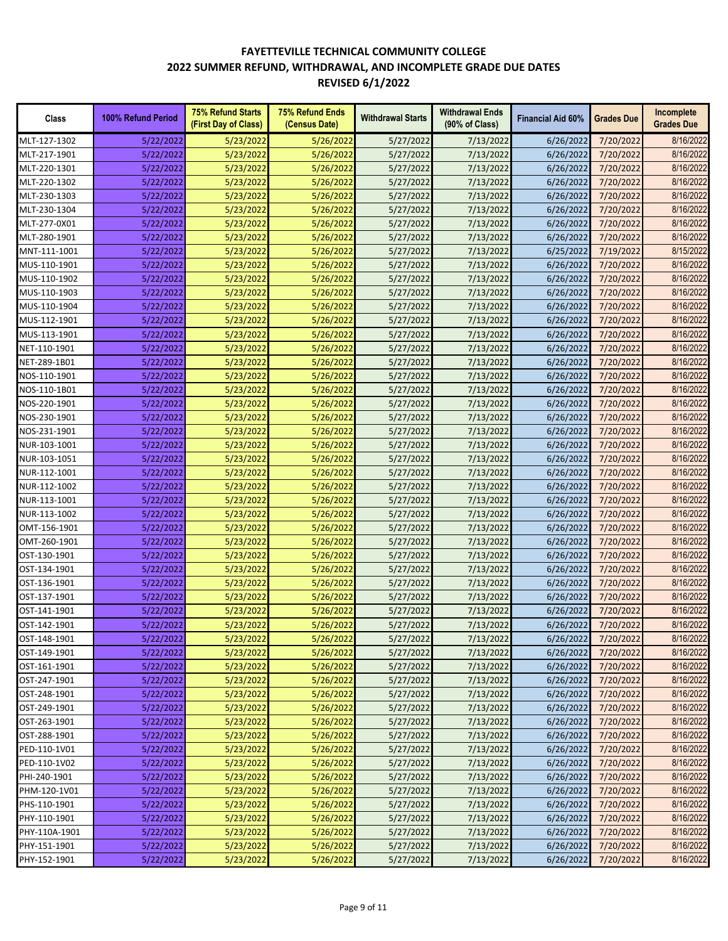| Class         | 100% Refund Period | <b>75% Refund Starts</b><br>(First Day of Class) | <b>75% Refund Ends</b><br>(Census Date) | <b>Withdrawal Starts</b> | <b>Withdrawal Ends</b><br>(90% of Class) | <b>Financial Aid 60%</b> | <b>Grades Due</b> | Incomplete<br><b>Grades Due</b> |
|---------------|--------------------|--------------------------------------------------|-----------------------------------------|--------------------------|------------------------------------------|--------------------------|-------------------|---------------------------------|
| MLT-127-1302  | 5/22/2022          | 5/23/2022                                        | 5/26/2022                               | 5/27/2022                | 7/13/2022                                | 6/26/2022                | 7/20/2022         | 8/16/2022                       |
| MLT-217-1901  | 5/22/2022          | 5/23/2022                                        | 5/26/2022                               | 5/27/2022                | 7/13/2022                                | 6/26/2022                | 7/20/2022         | 8/16/2022                       |
| MLT-220-1301  | 5/22/2022          | 5/23/2022                                        | 5/26/2022                               | 5/27/2022                | 7/13/2022                                | 6/26/2022                | 7/20/2022         | 8/16/2022                       |
| MLT-220-1302  | 5/22/2022          | 5/23/2022                                        | 5/26/2022                               | 5/27/2022                | 7/13/2022                                | 6/26/2022                | 7/20/2022         | 8/16/2022                       |
| MLT-230-1303  | 5/22/2022          | 5/23/2022                                        | 5/26/2022                               | 5/27/2022                | 7/13/2022                                | 6/26/2022                | 7/20/2022         | 8/16/2022                       |
| MLT-230-1304  | 5/22/2022          | 5/23/2022                                        | 5/26/2022                               | 5/27/2022                | 7/13/2022                                | 6/26/2022                | 7/20/2022         | 8/16/2022                       |
| MLT-277-0X01  | 5/22/2022          | 5/23/2022                                        | 5/26/2022                               | 5/27/2022                | 7/13/2022                                | 6/26/2022                | 7/20/2022         | 8/16/2022                       |
| MLT-280-1901  | 5/22/2022          | 5/23/2022                                        | 5/26/2022                               | 5/27/2022                | 7/13/2022                                | 6/26/2022                | 7/20/2022         | 8/16/2022                       |
| MNT-111-1001  | 5/22/2022          | 5/23/2022                                        | 5/26/2022                               | 5/27/2022                | 7/13/2022                                | 6/25/2022                | 7/19/2022         | 8/15/2022                       |
| MUS-110-1901  | 5/22/2022          | 5/23/2022                                        | 5/26/2022                               | 5/27/2022                | 7/13/2022                                | 6/26/2022                | 7/20/2022         | 8/16/2022                       |
| MUS-110-1902  | 5/22/2022          | 5/23/2022                                        | 5/26/2022                               | 5/27/2022                | 7/13/2022                                | 6/26/2022                | 7/20/2022         | 8/16/2022                       |
| MUS-110-1903  | 5/22/2022          | 5/23/2022                                        | 5/26/2022                               | 5/27/2022                | 7/13/2022                                | 6/26/2022                | 7/20/2022         | 8/16/2022                       |
| MUS-110-1904  | 5/22/2022          | 5/23/2022                                        | 5/26/2022                               | 5/27/2022                | 7/13/2022                                | 6/26/2022                | 7/20/2022         | 8/16/2022                       |
| MUS-112-1901  | 5/22/2022          | 5/23/2022                                        | 5/26/2022                               | 5/27/2022                | 7/13/2022                                | 6/26/2022                | 7/20/2022         | 8/16/2022                       |
| MUS-113-1901  | 5/22/2022          | 5/23/2022                                        | 5/26/2022                               | 5/27/2022                | 7/13/2022                                | 6/26/2022                | 7/20/2022         | 8/16/2022                       |
| NET-110-1901  | 5/22/2022          | 5/23/2022                                        | 5/26/2022                               | 5/27/2022                | 7/13/2022                                | 6/26/2022                | 7/20/2022         | 8/16/2022                       |
| NET-289-1B01  | 5/22/2022          | 5/23/2022                                        | 5/26/2022                               | 5/27/2022                | 7/13/2022                                | 6/26/2022                | 7/20/2022         | 8/16/2022                       |
| NOS-110-1901  | 5/22/2022          | 5/23/2022                                        | 5/26/2022                               | 5/27/2022                | 7/13/2022                                | 6/26/2022                | 7/20/2022         | 8/16/2022                       |
| NOS-110-1B01  | 5/22/2022          | 5/23/2022                                        | 5/26/2022                               | 5/27/2022                | 7/13/2022                                | 6/26/2022                | 7/20/2022         | 8/16/2022                       |
| NOS-220-1901  | 5/22/2022          | 5/23/2022                                        | 5/26/2022                               | 5/27/2022                | 7/13/2022                                | 6/26/2022                | 7/20/2022         | 8/16/2022                       |
| NOS-230-1901  | 5/22/2022          | 5/23/2022                                        | 5/26/2022                               | 5/27/2022                | 7/13/2022                                | 6/26/2022                | 7/20/2022         | 8/16/2022                       |
| NOS-231-1901  | 5/22/2022          | 5/23/2022                                        | 5/26/2022                               | 5/27/2022                | 7/13/2022                                | 6/26/2022                | 7/20/2022         | 8/16/2022                       |
| NUR-103-1001  | 5/22/2022          | 5/23/2022                                        | 5/26/2022                               | 5/27/2022                | 7/13/2022                                | 6/26/2022                | 7/20/2022         | 8/16/2022                       |
| NUR-103-1051  | 5/22/2022          | 5/23/2022                                        | 5/26/2022                               | 5/27/2022                | 7/13/2022                                | 6/26/2022                | 7/20/2022         | 8/16/2022                       |
| NUR-112-1001  | 5/22/2022          | 5/23/2022                                        | 5/26/2022                               | 5/27/2022                | 7/13/2022                                | 6/26/2022                | 7/20/2022         | 8/16/2022                       |
| NUR-112-1002  | 5/22/2022          | 5/23/2022                                        | 5/26/2022                               | 5/27/2022                | 7/13/2022                                | 6/26/2022                | 7/20/2022         | 8/16/2022                       |
| NUR-113-1001  | 5/22/2022          | 5/23/2022                                        | 5/26/2022                               | 5/27/2022                | 7/13/2022                                | 6/26/2022                | 7/20/2022         | 8/16/2022                       |
| NUR-113-1002  | 5/22/2022          | 5/23/2022                                        | 5/26/2022                               | 5/27/2022                | 7/13/2022                                | 6/26/2022                | 7/20/2022         | 8/16/2022                       |
| OMT-156-1901  | 5/22/2022          | 5/23/2022                                        | 5/26/2022                               | 5/27/2022                | 7/13/2022                                | 6/26/2022                | 7/20/2022         | 8/16/2022                       |
| OMT-260-1901  | 5/22/2022          | 5/23/2022                                        | 5/26/2022                               | 5/27/2022                | 7/13/2022                                | 6/26/2022                | 7/20/2022         | 8/16/2022                       |
| OST-130-1901  | 5/22/2022          | 5/23/2022                                        | 5/26/2022                               | 5/27/2022                | 7/13/2022                                | 6/26/2022                | 7/20/2022         | 8/16/2022                       |
| OST-134-1901  | 5/22/2022          | 5/23/2022                                        | 5/26/2022                               | 5/27/2022                | 7/13/2022                                | 6/26/2022                | 7/20/2022         | 8/16/2022                       |
| OST-136-1901  | 5/22/2022          | 5/23/2022                                        | 5/26/2022                               | 5/27/2022                | 7/13/2022                                | 6/26/2022                | 7/20/2022         | 8/16/2022                       |
| OST-137-1901  | 5/22/2022          | 5/23/2022                                        | 5/26/2022                               | 5/27/2022                | 7/13/2022                                | 6/26/2022                | 7/20/2022         | 8/16/2022                       |
| OST-141-1901  | 5/22/2022          | 5/23/2022                                        | 5/26/2022                               | 5/27/2022                | 7/13/2022                                | 6/26/2022                | 7/20/2022         | 8/16/2022                       |
| OST-142-1901  | 5/22/2022          | 5/23/2022                                        | 5/26/2022                               | 5/27/2022                | 7/13/2022                                | 6/26/2022                | 7/20/2022         | 8/16/2022                       |
| OST-148-1901  | 5/22/2022          | 5/23/2022                                        | 5/26/2022                               | 5/27/2022                | 7/13/2022                                | 6/26/2022                | 7/20/2022         | 8/16/2022                       |
| OST-149-1901  | 5/22/2022          | 5/23/2022                                        | 5/26/2022                               | 5/27/2022                | 7/13/2022                                | 6/26/2022                | 7/20/2022         | 8/16/2022                       |
| OST-161-1901  | 5/22/2022          | 5/23/2022                                        | 5/26/2022                               | 5/27/2022                | 7/13/2022                                | 6/26/2022                | 7/20/2022         | 8/16/2022                       |
| OST-247-1901  | 5/22/2022          | 5/23/2022                                        | 5/26/2022                               | 5/27/2022                | 7/13/2022                                | 6/26/2022                | 7/20/2022         | 8/16/2022                       |
| OST-248-1901  | 5/22/2022          | 5/23/2022                                        | 5/26/2022                               | 5/27/2022                | 7/13/2022                                | 6/26/2022                | 7/20/2022         | 8/16/2022                       |
| OST-249-1901  | 5/22/2022          | 5/23/2022                                        | 5/26/2022                               | 5/27/2022                | 7/13/2022                                | 6/26/2022                | 7/20/2022         | 8/16/2022                       |
| OST-263-1901  | 5/22/2022          | 5/23/2022                                        | 5/26/2022                               | 5/27/2022                | 7/13/2022                                | 6/26/2022                | 7/20/2022         | 8/16/2022                       |
| OST-288-1901  | 5/22/2022          | 5/23/2022                                        | 5/26/2022                               | 5/27/2022                | 7/13/2022                                | 6/26/2022                | 7/20/2022         | 8/16/2022                       |
| PED-110-1V01  | 5/22/2022          | 5/23/2022                                        | 5/26/2022                               | 5/27/2022                | 7/13/2022                                | 6/26/2022                | 7/20/2022         | 8/16/2022                       |
| PED-110-1V02  | 5/22/2022          | 5/23/2022                                        | 5/26/2022                               | 5/27/2022                | 7/13/2022                                | 6/26/2022                | 7/20/2022         | 8/16/2022                       |
| PHI-240-1901  | 5/22/2022          | 5/23/2022                                        | 5/26/2022                               | 5/27/2022                | 7/13/2022                                | 6/26/2022                | 7/20/2022         | 8/16/2022                       |
| PHM-120-1V01  | 5/22/2022          | 5/23/2022                                        | 5/26/2022                               | 5/27/2022                | 7/13/2022                                | 6/26/2022                | 7/20/2022         | 8/16/2022                       |
| PHS-110-1901  | 5/22/2022          | 5/23/2022                                        | 5/26/2022                               | 5/27/2022                | 7/13/2022                                | 6/26/2022                | 7/20/2022         | 8/16/2022                       |
| PHY-110-1901  | 5/22/2022          | 5/23/2022                                        | 5/26/2022                               | 5/27/2022                | 7/13/2022                                | 6/26/2022                | 7/20/2022         | 8/16/2022                       |
| PHY-110A-1901 | 5/22/2022          | 5/23/2022                                        | 5/26/2022                               | 5/27/2022                | 7/13/2022                                | 6/26/2022                | 7/20/2022         | 8/16/2022                       |
| PHY-151-1901  | 5/22/2022          | 5/23/2022                                        | 5/26/2022                               | 5/27/2022                | 7/13/2022                                | 6/26/2022                | 7/20/2022         | 8/16/2022                       |
| PHY-152-1901  | 5/22/2022          | 5/23/2022                                        | 5/26/2022                               | 5/27/2022                | 7/13/2022                                | 6/26/2022                | 7/20/2022         | 8/16/2022                       |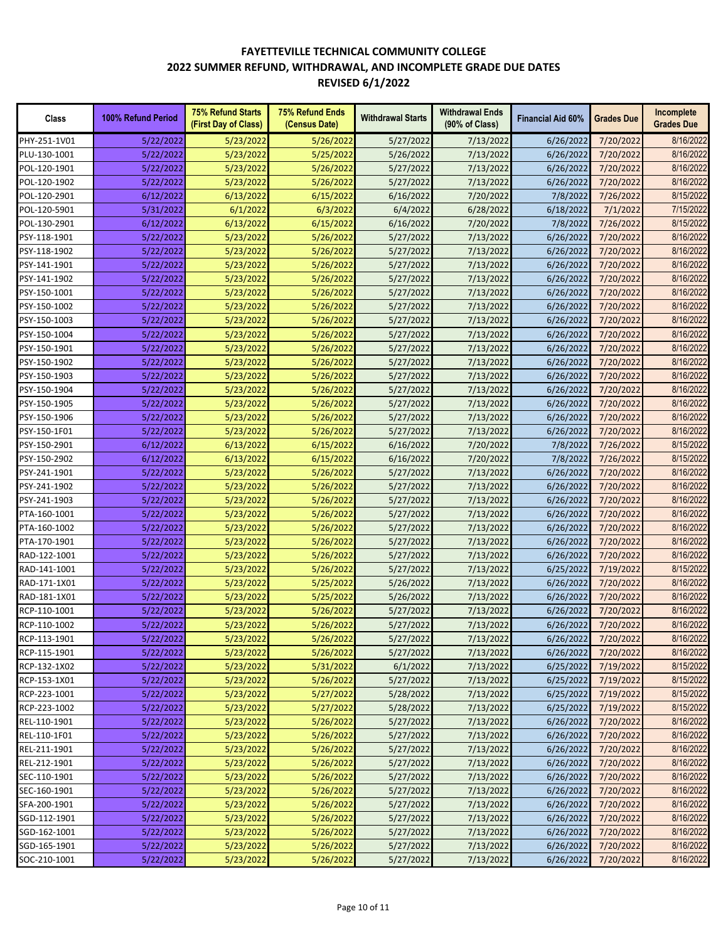| Class        | 100% Refund Period     | <b>75% Refund Starts</b><br>(First Day of Class) | <b>75% Refund Ends</b><br>(Census Date) | <b>Withdrawal Starts</b> | <b>Withdrawal Ends</b><br>(90% of Class) | <b>Financial Aid 60%</b> | <b>Grades Due</b> | Incomplete<br><b>Grades Due</b> |
|--------------|------------------------|--------------------------------------------------|-----------------------------------------|--------------------------|------------------------------------------|--------------------------|-------------------|---------------------------------|
| PHY-251-1V01 | 5/22/2022              | 5/23/2022                                        | 5/26/2022                               | 5/27/2022                | 7/13/2022                                | 6/26/2022                | 7/20/2022         | 8/16/2022                       |
| PLU-130-1001 | 5/22/2022              | 5/23/2022                                        | 5/25/2022                               | 5/26/2022                | 7/13/2022                                | 6/26/2022                | 7/20/2022         | 8/16/2022                       |
| POL-120-1901 | 5/22/2022              | 5/23/2022                                        | 5/26/2022                               | 5/27/2022                | 7/13/2022                                | 6/26/2022                | 7/20/2022         | 8/16/2022                       |
| POL-120-1902 | 5/22/2022              | 5/23/2022                                        | 5/26/2022                               | 5/27/2022                | 7/13/2022                                | 6/26/2022                | 7/20/2022         | 8/16/2022                       |
| POL-120-2901 | 6/12/2022              | 6/13/2022                                        | 6/15/2022                               | 6/16/2022                | 7/20/2022                                | 7/8/2022                 | 7/26/2022         | 8/15/2022                       |
| POL-120-5901 | 5/31/2022              | 6/1/2022                                         | 6/3/2022                                | 6/4/2022                 | 6/28/2022                                | 6/18/2022                | 7/1/2022          | 7/15/2022                       |
| POL-130-2901 | 6/12/2022              | 6/13/2022                                        | 6/15/2022                               | 6/16/2022                | 7/20/2022                                | 7/8/2022                 | 7/26/2022         | 8/15/2022                       |
| PSY-118-1901 | 5/22/2022              | 5/23/2022                                        | 5/26/2022                               | 5/27/2022                | 7/13/2022                                | 6/26/2022                | 7/20/2022         | 8/16/2022                       |
| PSY-118-1902 | 5/22/2022              | 5/23/2022                                        | 5/26/2022                               | 5/27/2022                | 7/13/2022                                | 6/26/2022                | 7/20/2022         | 8/16/2022                       |
| PSY-141-1901 | 5/22/2022              | 5/23/2022                                        | 5/26/2022                               | 5/27/2022                | 7/13/2022                                | 6/26/2022                | 7/20/2022         | 8/16/2022                       |
| PSY-141-1902 | 5/22/2022              | 5/23/2022                                        | 5/26/2022                               | 5/27/2022                | 7/13/2022                                | 6/26/2022                | 7/20/2022         | 8/16/2022                       |
| PSY-150-1001 | 5/22/2022              | 5/23/2022                                        | 5/26/2022                               | 5/27/2022                | 7/13/2022                                | 6/26/2022                | 7/20/2022         | 8/16/2022                       |
| PSY-150-1002 | 5/22/2022              | 5/23/2022                                        | 5/26/2022                               | 5/27/2022                | 7/13/2022                                | 6/26/2022                | 7/20/2022         | 8/16/2022                       |
| PSY-150-1003 | 5/22/2022              | 5/23/2022                                        | 5/26/2022                               | 5/27/2022                | 7/13/2022                                | 6/26/2022                | 7/20/2022         | 8/16/2022                       |
| PSY-150-1004 | 5/22/2022              | 5/23/2022                                        | 5/26/2022                               | 5/27/2022                | 7/13/2022                                | 6/26/2022                | 7/20/2022         | 8/16/2022                       |
| PSY-150-1901 | 5/22/2022              | 5/23/2022                                        | 5/26/2022                               | 5/27/2022                | 7/13/2022                                | 6/26/2022                | 7/20/2022         | 8/16/2022                       |
| PSY-150-1902 | 5/22/2022              | 5/23/2022                                        | 5/26/2022                               | 5/27/2022                | 7/13/2022                                | 6/26/2022                | 7/20/2022         | 8/16/2022                       |
| PSY-150-1903 | 5/22/2022              | 5/23/2022                                        | 5/26/2022                               | 5/27/2022                | 7/13/2022                                | 6/26/2022                | 7/20/2022         | 8/16/2022                       |
| PSY-150-1904 | 5/22/2022              | 5/23/2022                                        | 5/26/2022                               | 5/27/2022                | 7/13/2022                                | 6/26/2022                | 7/20/2022         | 8/16/2022                       |
| PSY-150-1905 | 5/22/2022              | 5/23/2022                                        | 5/26/2022                               | 5/27/2022                | 7/13/2022                                | 6/26/2022                | 7/20/2022         | 8/16/2022                       |
| PSY-150-1906 | 5/22/2022              | 5/23/2022                                        | 5/26/2022                               | 5/27/2022                | 7/13/2022                                | 6/26/2022                | 7/20/2022         | 8/16/2022                       |
| PSY-150-1F01 |                        | 5/23/2022                                        | 5/26/2022                               |                          |                                          | 6/26/2022                | 7/20/2022         | 8/16/2022                       |
| PSY-150-2901 | 5/22/2022<br>6/12/2022 | 6/13/2022                                        | 6/15/2022                               | 5/27/2022<br>6/16/2022   | 7/13/2022<br>7/20/2022                   | 7/8/2022                 | 7/26/2022         | 8/15/2022                       |
| PSY-150-2902 |                        | 6/13/2022                                        | 6/15/2022                               |                          |                                          |                          |                   | 8/15/2022                       |
|              | 6/12/2022              |                                                  |                                         | 6/16/2022                | 7/20/2022                                | 7/8/2022                 | 7/26/2022         | 8/16/2022                       |
| PSY-241-1901 | 5/22/2022              | 5/23/2022                                        | 5/26/2022                               | 5/27/2022                | 7/13/2022                                | 6/26/2022                | 7/20/2022         | 8/16/2022                       |
| PSY-241-1902 | 5/22/2022              | 5/23/2022                                        | 5/26/2022                               | 5/27/2022                | 7/13/2022                                | 6/26/2022                | 7/20/2022         |                                 |
| PSY-241-1903 | 5/22/2022              | 5/23/2022                                        | 5/26/2022                               | 5/27/2022                | 7/13/2022                                | 6/26/2022                | 7/20/2022         | 8/16/2022<br>8/16/2022          |
| PTA-160-1001 | 5/22/2022              | 5/23/2022                                        | 5/26/2022                               | 5/27/2022                | 7/13/2022                                | 6/26/2022                | 7/20/2022         |                                 |
| PTA-160-1002 | 5/22/2022              | 5/23/2022                                        | 5/26/2022                               | 5/27/2022                | 7/13/2022                                | 6/26/2022                | 7/20/2022         | 8/16/2022                       |
| PTA-170-1901 | 5/22/2022              | 5/23/2022                                        | 5/26/2022                               | 5/27/2022                | 7/13/2022                                | 6/26/2022                | 7/20/2022         | 8/16/2022                       |
| RAD-122-1001 | 5/22/2022              | 5/23/2022                                        | 5/26/2022                               | 5/27/2022                | 7/13/2022                                | 6/26/2022                | 7/20/2022         | 8/16/2022                       |
| RAD-141-1001 | 5/22/2022              | 5/23/2022                                        | 5/26/2022                               | 5/27/2022                | 7/13/2022                                | 6/25/2022                | 7/19/2022         | 8/15/2022                       |
| RAD-171-1X01 | 5/22/2022              | 5/23/2022                                        | 5/25/2022                               | 5/26/2022                | 7/13/2022                                | 6/26/2022                | 7/20/2022         | 8/16/2022                       |
| RAD-181-1X01 | 5/22/2022              | 5/23/2022                                        | 5/25/2022                               | 5/26/2022                | 7/13/2022                                | 6/26/2022                | 7/20/2022         | 8/16/2022                       |
| RCP-110-1001 | 5/22/2022              | 5/23/2022                                        | 5/26/2022                               | 5/27/2022                | 7/13/2022                                | 6/26/2022                | 7/20/2022         | 8/16/2022                       |
| RCP-110-1002 | 5/22/2022              | 5/23/2022                                        | 5/26/2022                               | 5/27/2022                | 7/13/2022                                | 6/26/2022                | 7/20/2022         | 8/16/2022                       |
| RCP-113-1901 | 5/22/2022              | 5/23/2022                                        | 5/26/2022                               | 5/27/2022                | 7/13/2022                                | 6/26/2022                | 7/20/2022         | 8/16/2022                       |
| RCP-115-1901 | 5/22/2022              | 5/23/2022                                        | 5/26/2022                               | 5/27/2022                | 7/13/2022                                | 6/26/2022                | 7/20/2022         | 8/16/2022                       |
| RCP-132-1X02 | 5/22/2022              | 5/23/2022                                        | 5/31/2022                               | 6/1/2022                 | 7/13/2022                                | 6/25/2022                | 7/19/2022         | 8/15/2022                       |
| RCP-153-1X01 | 5/22/2022              | 5/23/2022                                        | 5/26/2022                               | 5/27/2022                | 7/13/2022                                | 6/25/2022                | 7/19/2022         | 8/15/2022                       |
| RCP-223-1001 | 5/22/2022              | 5/23/2022                                        | 5/27/2022                               | 5/28/2022                | 7/13/2022                                | 6/25/2022                | 7/19/2022         | 8/15/2022                       |
| RCP-223-1002 | 5/22/2022              | 5/23/2022                                        | 5/27/2022                               | 5/28/2022                | 7/13/2022                                | 6/25/2022                | 7/19/2022         | 8/15/2022                       |
| REL-110-1901 | 5/22/2022              | 5/23/2022                                        | 5/26/2022                               | 5/27/2022                | 7/13/2022                                | 6/26/2022                | 7/20/2022         | 8/16/2022                       |
| REL-110-1F01 | 5/22/2022              | 5/23/2022                                        | 5/26/2022                               | 5/27/2022                | 7/13/2022                                | 6/26/2022                | 7/20/2022         | 8/16/2022                       |
| REL-211-1901 | 5/22/2022              | 5/23/2022                                        | 5/26/2022                               | 5/27/2022                | 7/13/2022                                | 6/26/2022                | 7/20/2022         | 8/16/2022                       |
| REL-212-1901 | 5/22/2022              | 5/23/2022                                        | 5/26/2022                               | 5/27/2022                | 7/13/2022                                | 6/26/2022                | 7/20/2022         | 8/16/2022                       |
| SEC-110-1901 | 5/22/2022              | 5/23/2022                                        | 5/26/2022                               | 5/27/2022                | 7/13/2022                                | 6/26/2022                | 7/20/2022         | 8/16/2022                       |
| SEC-160-1901 | 5/22/2022              | 5/23/2022                                        | 5/26/2022                               | 5/27/2022                | 7/13/2022                                | 6/26/2022                | 7/20/2022         | 8/16/2022                       |
| SFA-200-1901 | 5/22/2022              | 5/23/2022                                        | 5/26/2022                               | 5/27/2022                | 7/13/2022                                | 6/26/2022                | 7/20/2022         | 8/16/2022                       |
| SGD-112-1901 | 5/22/2022              | 5/23/2022                                        | 5/26/2022                               | 5/27/2022                | 7/13/2022                                | 6/26/2022                | 7/20/2022         | 8/16/2022                       |
| SGD-162-1001 | 5/22/2022              | 5/23/2022                                        | 5/26/2022                               | 5/27/2022                | 7/13/2022                                | 6/26/2022                | 7/20/2022         | 8/16/2022                       |
| SGD-165-1901 | 5/22/2022              | 5/23/2022                                        | 5/26/2022                               | 5/27/2022                | 7/13/2022                                | 6/26/2022                | 7/20/2022         | 8/16/2022                       |
| SOC-210-1001 | 5/22/2022              | 5/23/2022                                        | 5/26/2022                               | 5/27/2022                | 7/13/2022                                | 6/26/2022                | 7/20/2022         | 8/16/2022                       |